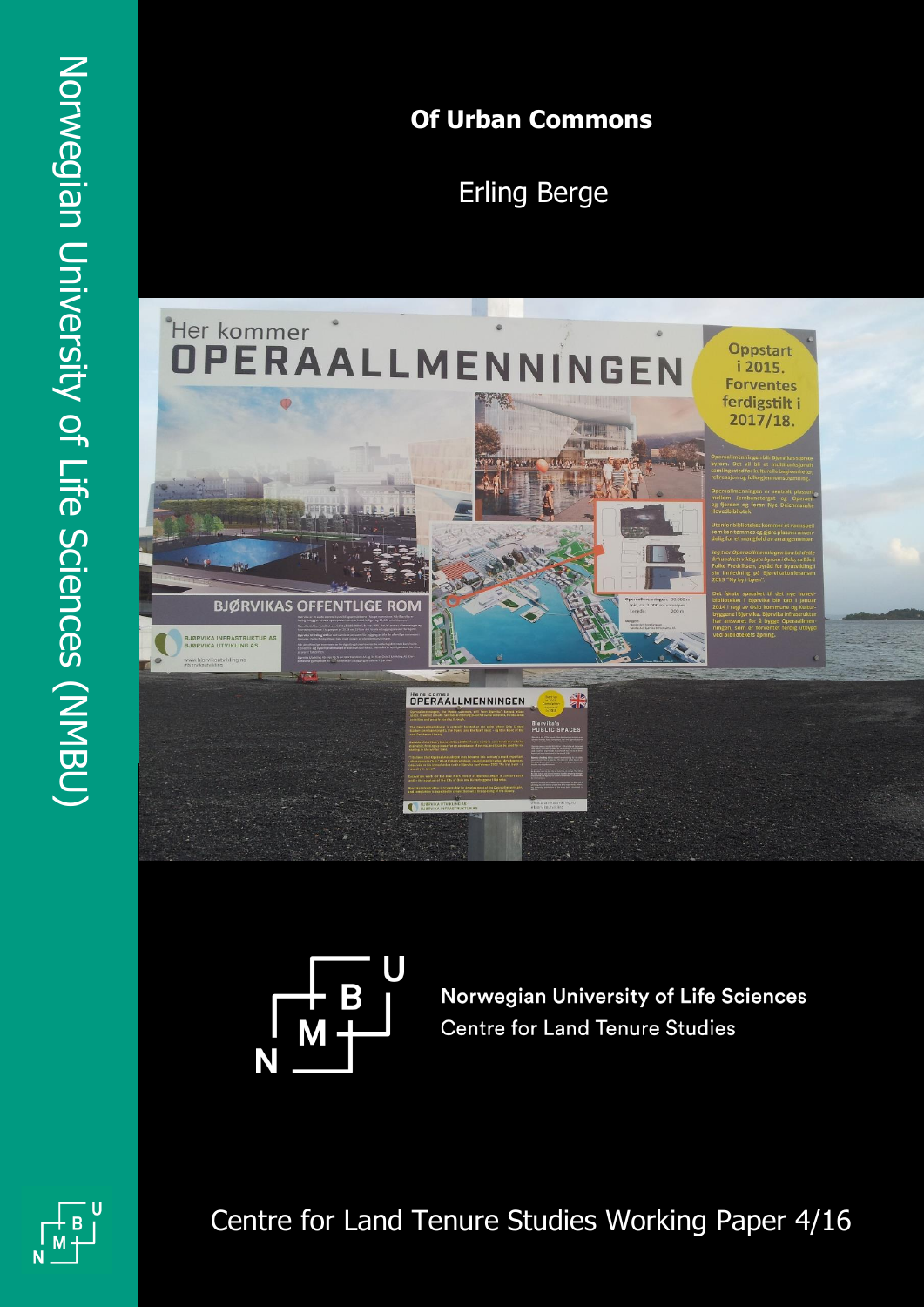# **Of Urban Commons**

Erling Berge





**Norwegian University of Life Sciences Centre for Land Tenure Studies** 

N

Centre for Land Tenure Studies Working Paper 4/16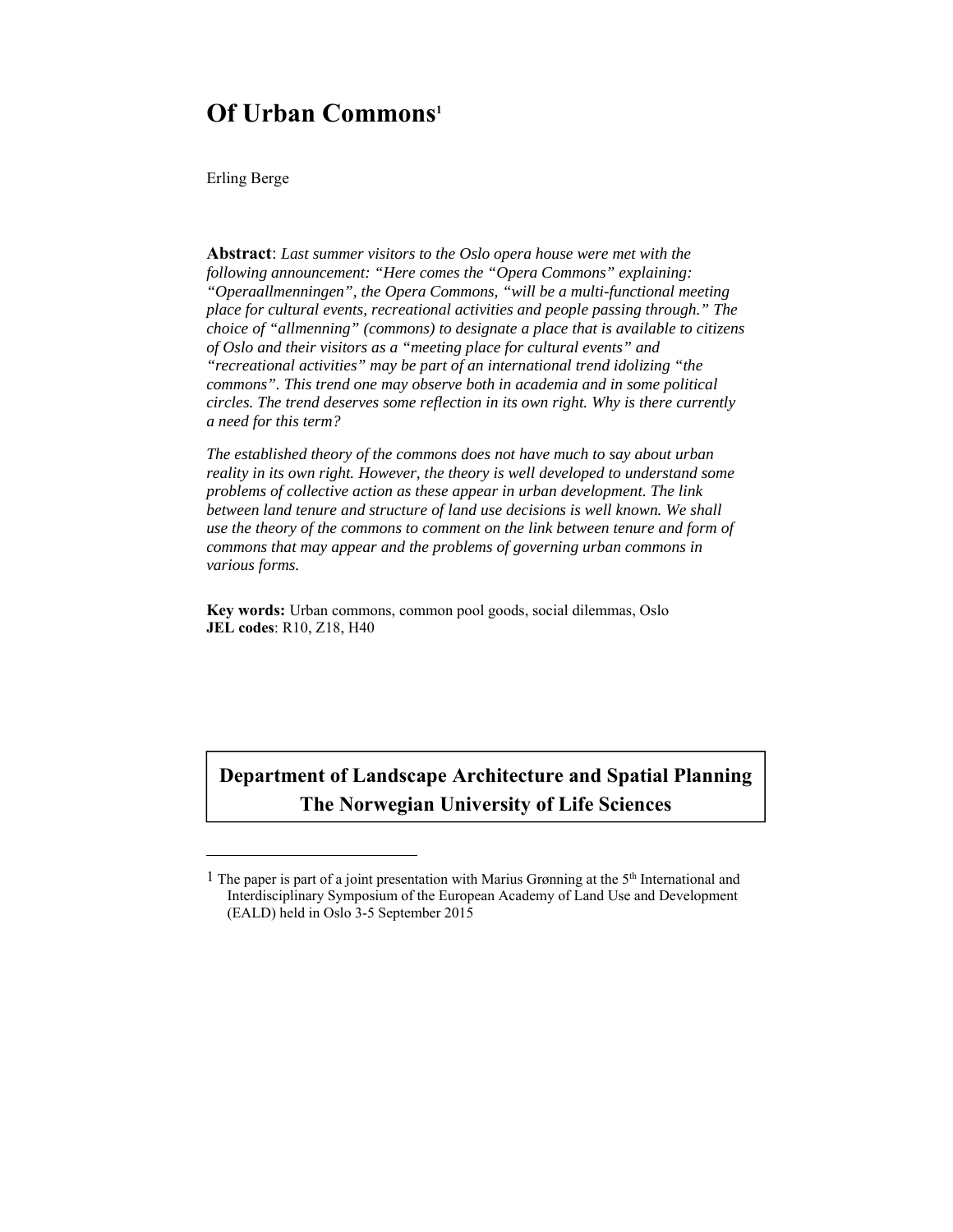# **Of Urban Commons1**

Erling Berge

l

**Abstract**: *Last summer visitors to the Oslo opera house were met with the following announcement: "Here comes the "Opera Commons" explaining: "Operaallmenningen", the Opera Commons, "will be a multi-functional meeting place for cultural events, recreational activities and people passing through." The choice of "allmenning" (commons) to designate a place that is available to citizens of Oslo and their visitors as a "meeting place for cultural events" and "recreational activities" may be part of an international trend idolizing "the commons". This trend one may observe both in academia and in some political circles. The trend deserves some reflection in its own right. Why is there currently a need for this term?* 

*The established theory of the commons does not have much to say about urban reality in its own right. However, the theory is well developed to understand some problems of collective action as these appear in urban development. The link*  between land tenure and structure of land use decisions is well known. We shall *use the theory of the commons to comment on the link between tenure and form of commons that may appear and the problems of governing urban commons in various forms.* 

**Key words:** Urban commons, common pool goods, social dilemmas, Oslo **JEL codes**: R10, Z18, H40

# **Department of Landscape Architecture and Spatial Planning The Norwegian University of Life Sciences**

<sup>1</sup> The paper is part of a joint presentation with Marius Grønning at the 5th International and Interdisciplinary Symposium of the European Academy of Land Use and Development (EALD) held in Oslo 3-5 September 2015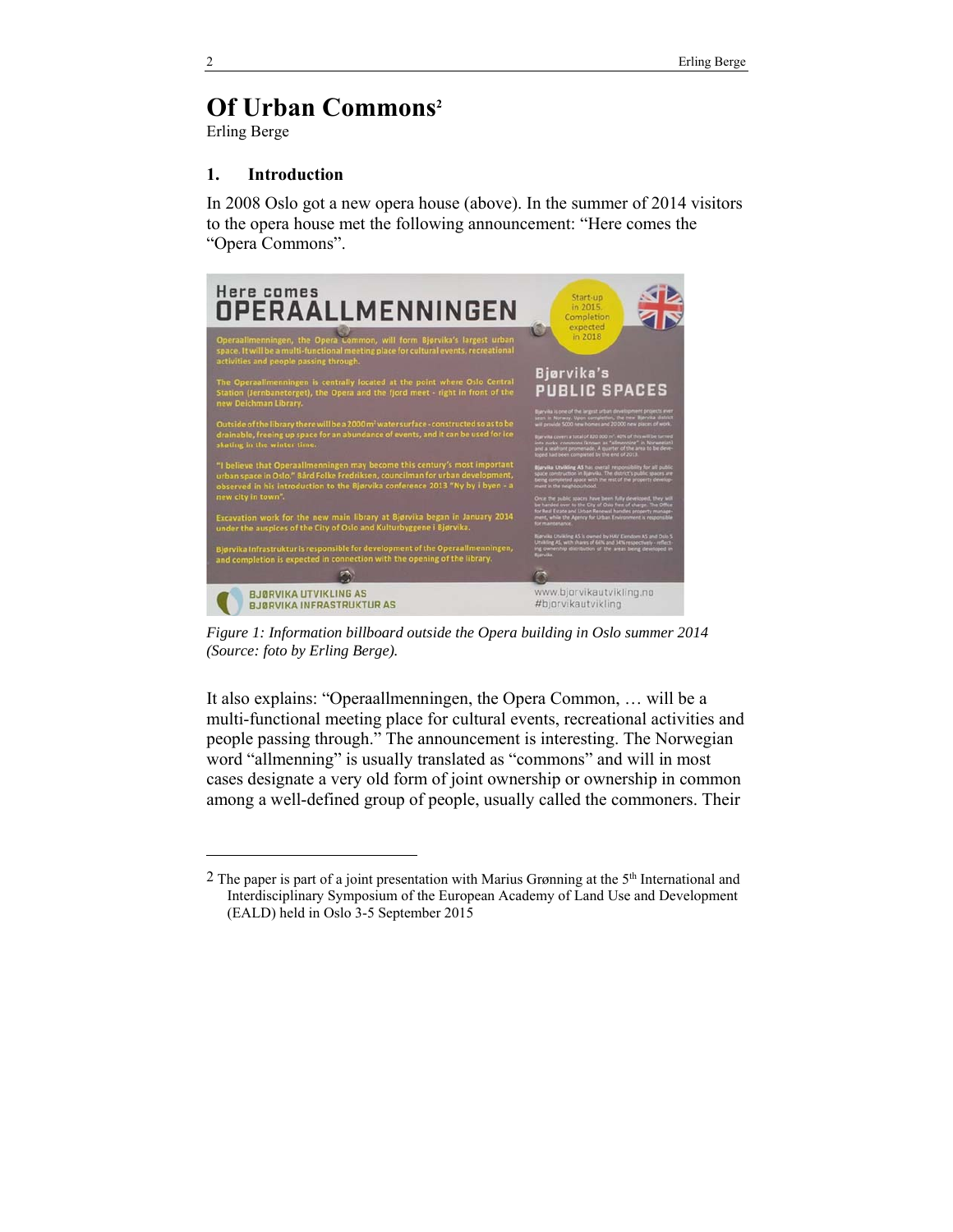# **Of Urban Commons2**

Erling Berge

### **1. Introduction**

In 2008 Oslo got a new opera house (above). In the summer of 2014 visitors to the opera house met the following announcement: "Here comes the "Opera Commons".



*Figure 1: Information billboard outside the Opera building in Oslo summer 2014 (Source: foto by Erling Berge).* 

It also explains: "Operaallmenningen, the Opera Common, … will be a multi-functional meeting place for cultural events, recreational activities and people passing through." The announcement is interesting. The Norwegian word "allmenning" is usually translated as "commons" and will in most cases designate a very old form of joint ownership or ownership in common among a well-defined group of people, usually called the commoners. Their

1

 $2$  The paper is part of a joint presentation with Marius Grønning at the  $5<sup>th</sup>$  International and Interdisciplinary Symposium of the European Academy of Land Use and Development (EALD) held in Oslo 3-5 September 2015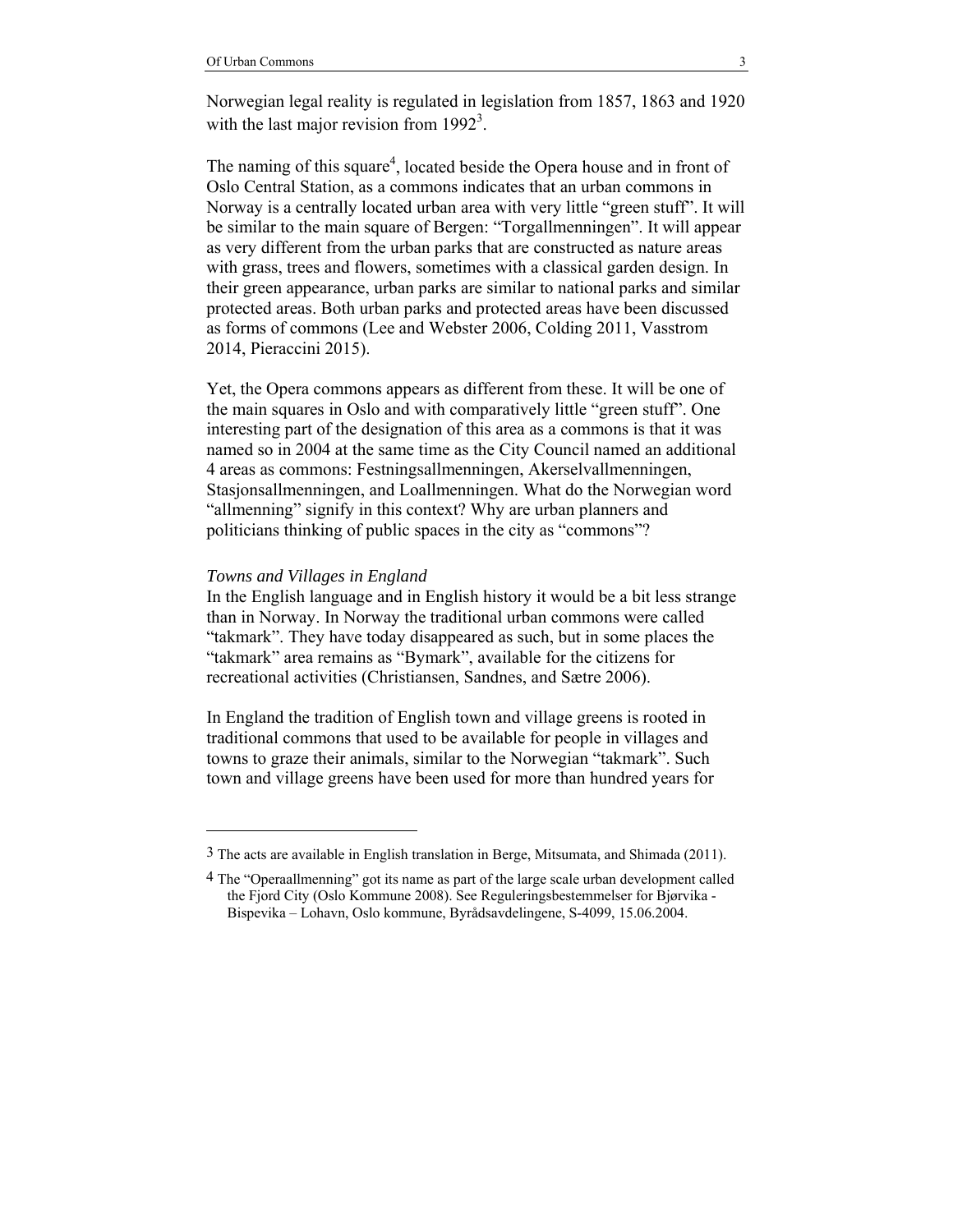Norwegian legal reality is regulated in legislation from 1857, 1863 and 1920 with the last major revision from  $1992<sup>3</sup>$ .

The naming of this square<sup>4</sup>, located beside the Opera house and in front of Oslo Central Station, as a commons indicates that an urban commons in Norway is a centrally located urban area with very little "green stuff". It will be similar to the main square of Bergen: "Torgallmenningen". It will appear as very different from the urban parks that are constructed as nature areas with grass, trees and flowers, sometimes with a classical garden design. In their green appearance, urban parks are similar to national parks and similar protected areas. Both urban parks and protected areas have been discussed as forms of commons (Lee and Webster 2006, Colding 2011, Vasstrom 2014, Pieraccini 2015).

Yet, the Opera commons appears as different from these. It will be one of the main squares in Oslo and with comparatively little "green stuff". One interesting part of the designation of this area as a commons is that it was named so in 2004 at the same time as the City Council named an additional 4 areas as commons: Festningsallmenningen, Akerselvallmenningen, Stasjonsallmenningen, and Loallmenningen. What do the Norwegian word "allmenning" signify in this context? Why are urban planners and politicians thinking of public spaces in the city as "commons"?

#### *Towns and Villages in England*

l

In the English language and in English history it would be a bit less strange than in Norway. In Norway the traditional urban commons were called "takmark". They have today disappeared as such, but in some places the "takmark" area remains as "Bymark", available for the citizens for recreational activities (Christiansen, Sandnes, and Sætre 2006).

In England the tradition of English town and village greens is rooted in traditional commons that used to be available for people in villages and towns to graze their animals, similar to the Norwegian "takmark". Such town and village greens have been used for more than hundred years for

<sup>3</sup> The acts are available in English translation in Berge, Mitsumata, and Shimada (2011).

<sup>4</sup> The "Operaallmenning" got its name as part of the large scale urban development called the Fjord City (Oslo Kommune 2008). See Reguleringsbestemmelser for Bjørvika - Bispevika – Lohavn, Oslo kommune, Byrådsavdelingene, S-4099, 15.06.2004.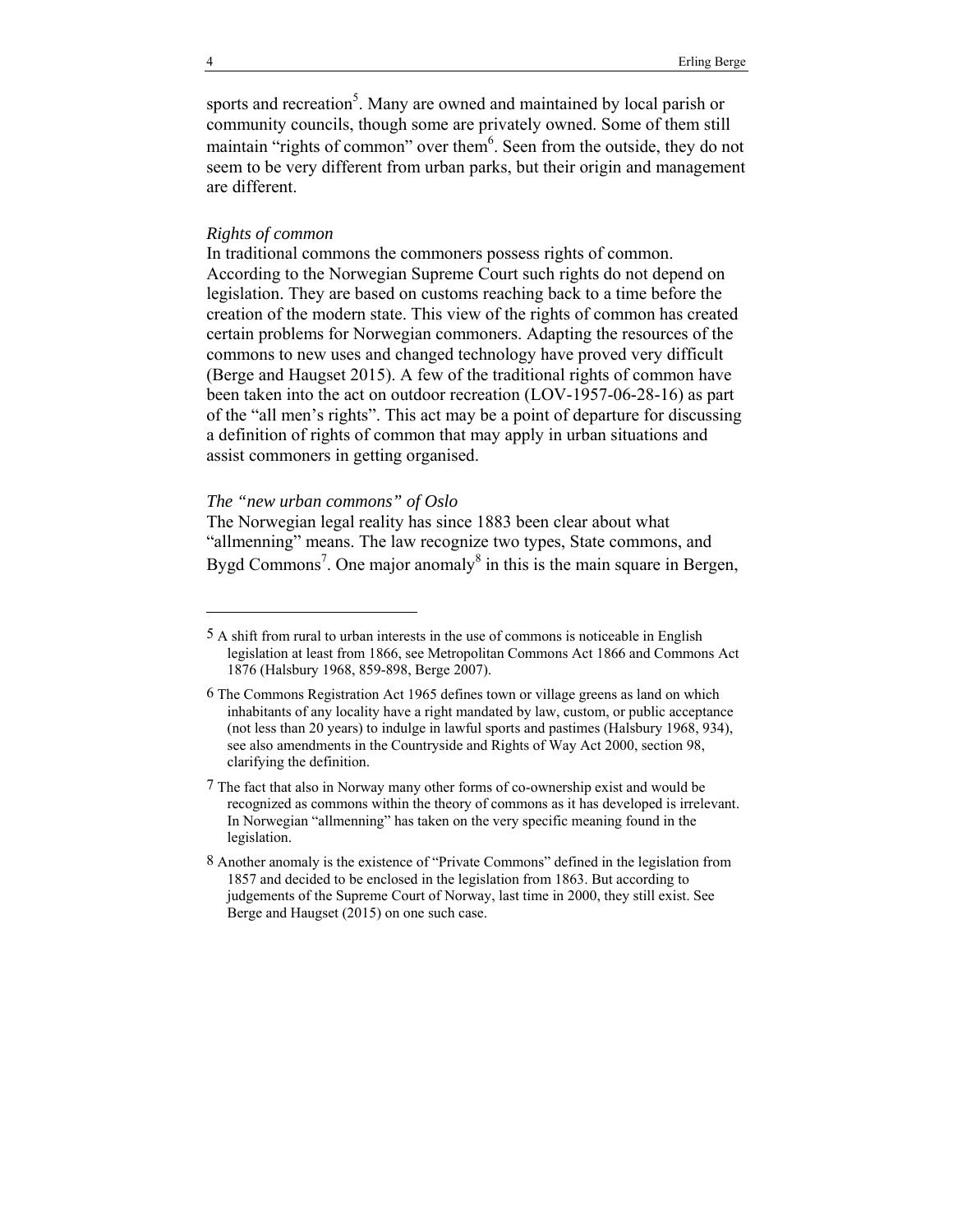sports and recreation<sup>5</sup>. Many are owned and maintained by local parish or community councils, though some are privately owned. Some of them still maintain "rights of common" over them $6$ . Seen from the outside, they do not seem to be very different from urban parks, but their origin and management are different.

#### *Rights of common*

In traditional commons the commoners possess rights of common. According to the Norwegian Supreme Court such rights do not depend on legislation. They are based on customs reaching back to a time before the creation of the modern state. This view of the rights of common has created certain problems for Norwegian commoners. Adapting the resources of the commons to new uses and changed technology have proved very difficult (Berge and Haugset 2015). A few of the traditional rights of common have been taken into the act on outdoor recreation (LOV-1957-06-28-16) as part of the "all men's rights". This act may be a point of departure for discussing a definition of rights of common that may apply in urban situations and assist commoners in getting organised.

#### *The "new urban commons" of Oslo*

The Norwegian legal reality has since 1883 been clear about what "allmenning" means. The law recognize two types, State commons, and Bygd Commons<sup>7</sup>. One major anomaly<sup>8</sup> in this is the main square in Bergen,

l

<sup>5</sup> A shift from rural to urban interests in the use of commons is noticeable in English legislation at least from 1866, see Metropolitan Commons Act 1866 and Commons Act 1876 (Halsbury 1968, 859-898, Berge 2007).

<sup>6</sup> The Commons Registration Act 1965 defines town or village greens as land on which inhabitants of any locality have a right mandated by law, custom, or public acceptance (not less than 20 years) to indulge in lawful sports and pastimes (Halsbury 1968, 934), see also amendments in the Countryside and Rights of Way Act 2000, section 98, clarifying the definition.

<sup>7</sup> The fact that also in Norway many other forms of co-ownership exist and would be recognized as commons within the theory of commons as it has developed is irrelevant. In Norwegian "allmenning" has taken on the very specific meaning found in the legislation.

<sup>8</sup> Another anomaly is the existence of "Private Commons" defined in the legislation from 1857 and decided to be enclosed in the legislation from 1863. But according to judgements of the Supreme Court of Norway, last time in 2000, they still exist. See Berge and Haugset (2015) on one such case.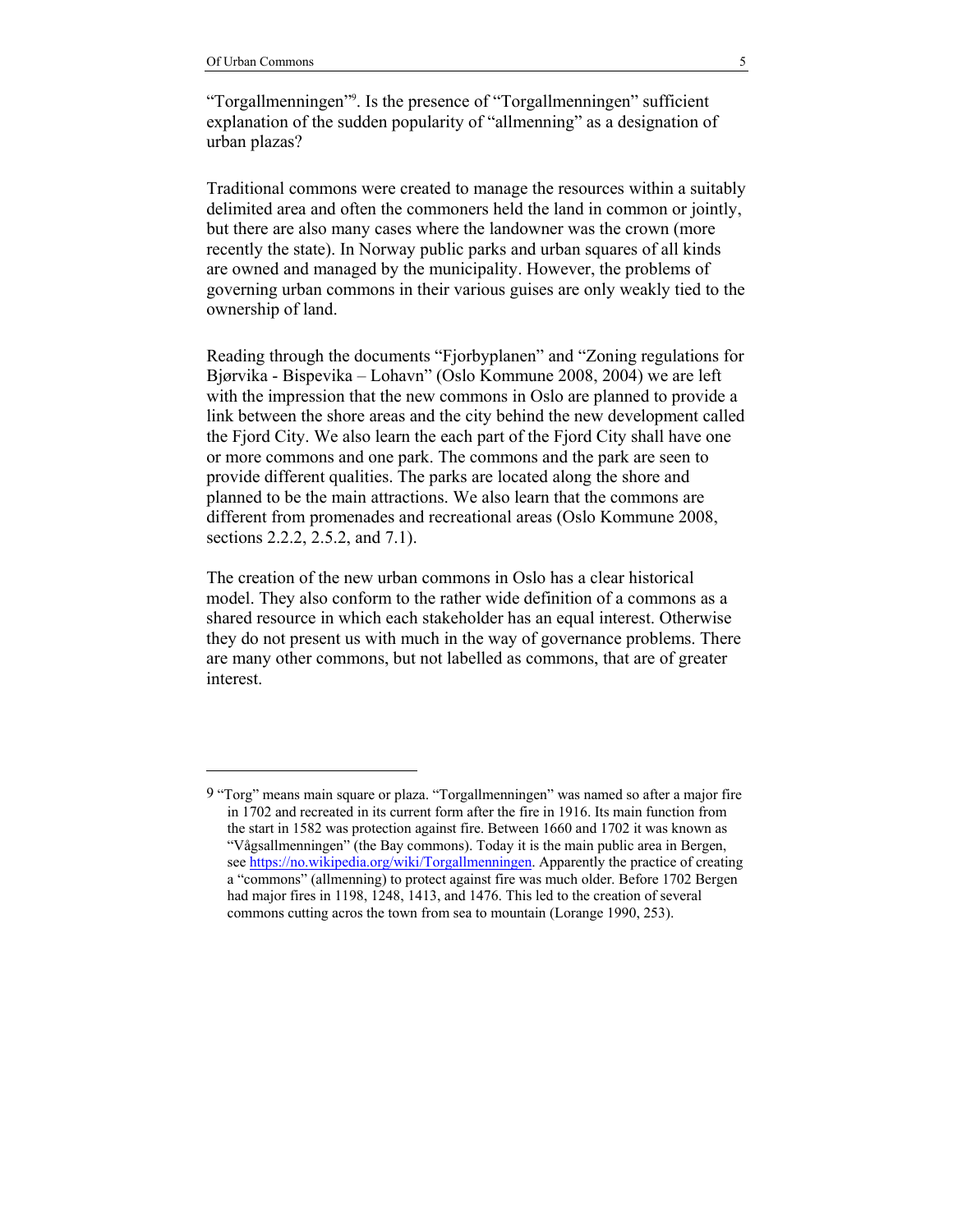l

"Torgallmenningen"<sup>9</sup>. Is the presence of "Torgallmenningen" sufficient explanation of the sudden popularity of "allmenning" as a designation of urban plazas?

Traditional commons were created to manage the resources within a suitably delimited area and often the commoners held the land in common or jointly, but there are also many cases where the landowner was the crown (more recently the state). In Norway public parks and urban squares of all kinds are owned and managed by the municipality. However, the problems of governing urban commons in their various guises are only weakly tied to the ownership of land.

Reading through the documents "Fjorbyplanen" and "Zoning regulations for Bjørvika - Bispevika – Lohavn" (Oslo Kommune 2008, 2004) we are left with the impression that the new commons in Oslo are planned to provide a link between the shore areas and the city behind the new development called the Fjord City. We also learn the each part of the Fjord City shall have one or more commons and one park. The commons and the park are seen to provide different qualities. The parks are located along the shore and planned to be the main attractions. We also learn that the commons are different from promenades and recreational areas (Oslo Kommune 2008, sections 2.2.2, 2.5.2, and 7.1).

The creation of the new urban commons in Oslo has a clear historical model. They also conform to the rather wide definition of a commons as a shared resource in which each stakeholder has an equal interest. Otherwise they do not present us with much in the way of governance problems. There are many other commons, but not labelled as commons, that are of greater interest.

<sup>9 &</sup>quot;Torg" means main square or plaza. "Torgallmenningen" was named so after a major fire in 1702 and recreated in its current form after the fire in 1916. Its main function from the start in 1582 was protection against fire. Between 1660 and 1702 it was known as "Vågsallmenningen" (the Bay commons). Today it is the main public area in Bergen, see https://no.wikipedia.org/wiki/Torgallmenningen. Apparently the practice of creating a "commons" (allmenning) to protect against fire was much older. Before 1702 Bergen had major fires in 1198, 1248, 1413, and 1476. This led to the creation of several commons cutting acros the town from sea to mountain (Lorange 1990, 253).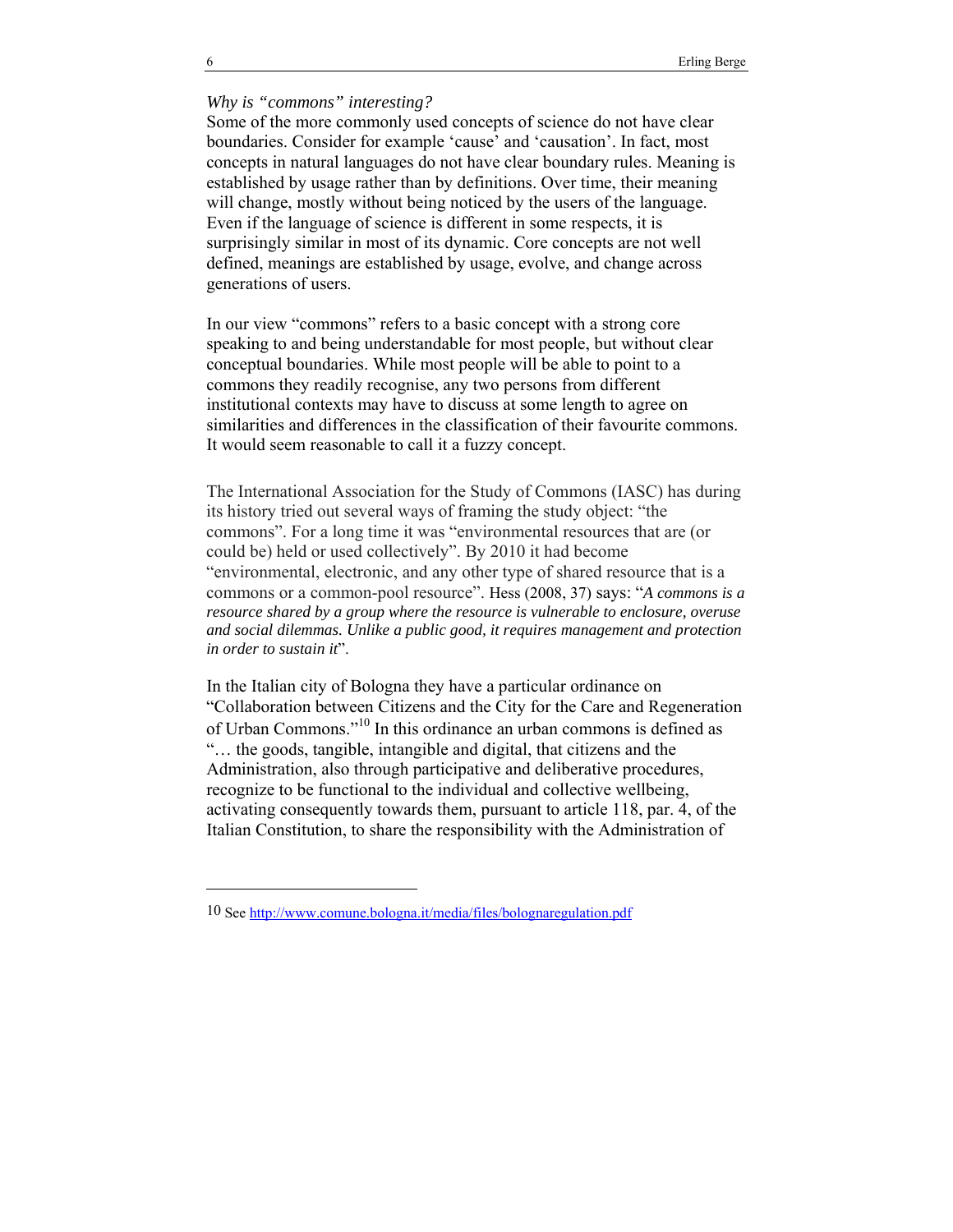## *Why is "commons" interesting?*

Some of the more commonly used concepts of science do not have clear boundaries. Consider for example 'cause' and 'causation'. In fact, most concepts in natural languages do not have clear boundary rules. Meaning is established by usage rather than by definitions. Over time, their meaning will change, mostly without being noticed by the users of the language. Even if the language of science is different in some respects, it is surprisingly similar in most of its dynamic. Core concepts are not well defined, meanings are established by usage, evolve, and change across generations of users.

In our view "commons" refers to a basic concept with a strong core speaking to and being understandable for most people, but without clear conceptual boundaries. While most people will be able to point to a commons they readily recognise, any two persons from different institutional contexts may have to discuss at some length to agree on similarities and differences in the classification of their favourite commons. It would seem reasonable to call it a fuzzy concept.

The International Association for the Study of Commons (IASC) has during its history tried out several ways of framing the study object: "the commons". For a long time it was "environmental resources that are (or could be) held or used collectively". By 2010 it had become "environmental, electronic, and any other type of shared resource that is a commons or a common-pool resource". Hess (2008, 37) says: "*A commons is a resource shared by a group where the resource is vulnerable to enclosure, overuse and social dilemmas. Unlike a public good, it requires management and protection in order to sustain it*".

In the Italian city of Bologna they have a particular ordinance on "Collaboration between Citizens and the City for the Care and Regeneration of Urban Commons."10 In this ordinance an urban commons is defined as "… the goods, tangible, intangible and digital, that citizens and the Administration, also through participative and deliberative procedures, recognize to be functional to the individual and collective wellbeing, activating consequently towards them, pursuant to article 118, par. 4, of the Italian Constitution, to share the responsibility with the Administration of

l

<sup>10</sup> See http://www.comune.bologna.it/media/files/bolognaregulation.pdf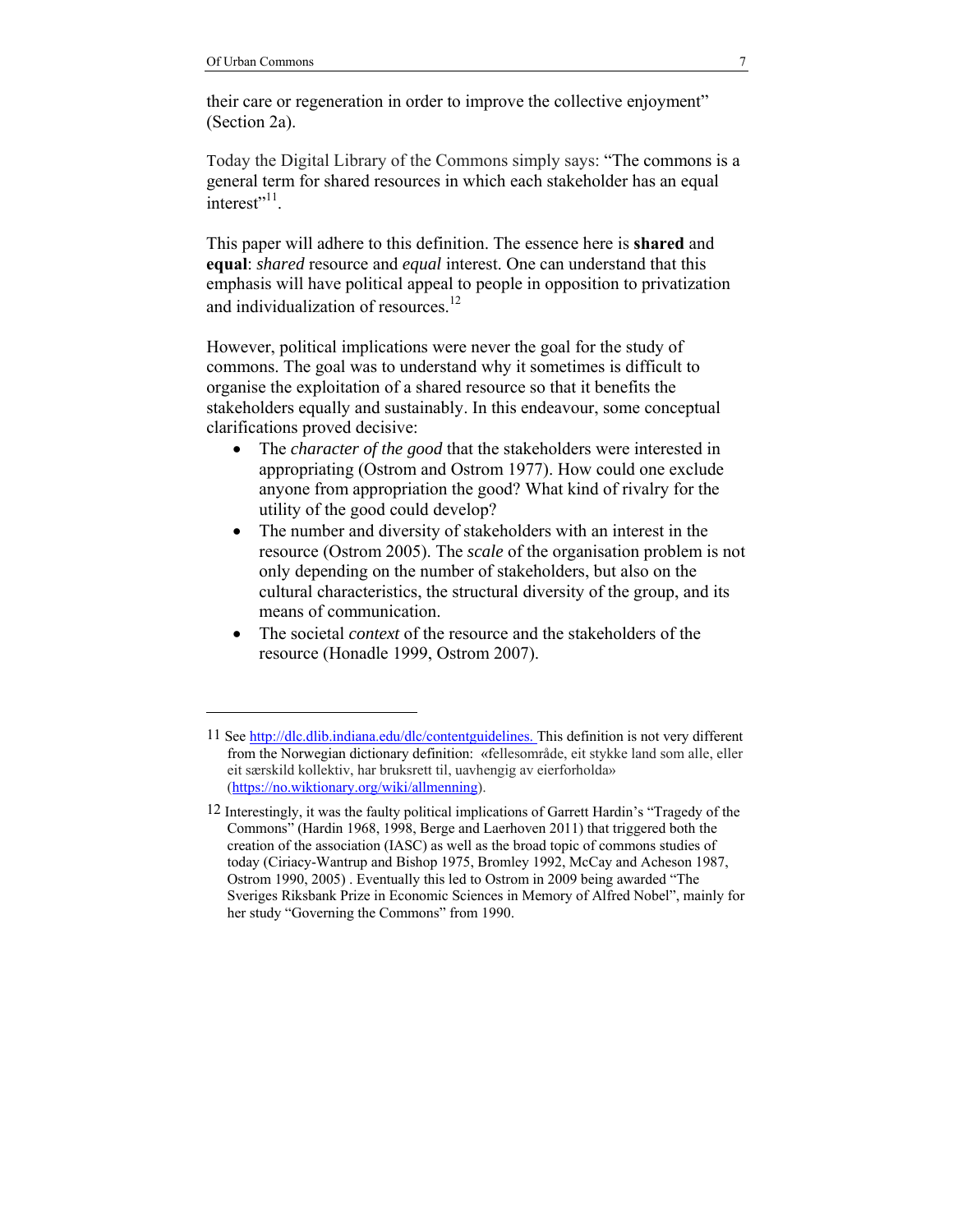l

their care or regeneration in order to improve the collective enjoyment" (Section 2a).

Today the Digital Library of the Commons simply says: "The commons is a general term for shared resources in which each stakeholder has an equal interest $"$ <sup>11</sup>.

This paper will adhere to this definition. The essence here is **shared** and **equal**: *shared* resource and *equal* interest. One can understand that this emphasis will have political appeal to people in opposition to privatization and individualization of resources. $^{12}$ 

However, political implications were never the goal for the study of commons. The goal was to understand why it sometimes is difficult to organise the exploitation of a shared resource so that it benefits the stakeholders equally and sustainably. In this endeavour, some conceptual clarifications proved decisive:

- The *character of the good* that the stakeholders were interested in appropriating (Ostrom and Ostrom 1977). How could one exclude anyone from appropriation the good? What kind of rivalry for the utility of the good could develop?
- The number and diversity of stakeholders with an interest in the resource (Ostrom 2005). The *scale* of the organisation problem is not only depending on the number of stakeholders, but also on the cultural characteristics, the structural diversity of the group, and its means of communication.
- The societal *context* of the resource and the stakeholders of the resource (Honadle 1999, Ostrom 2007).

<sup>11</sup> See http://dlc.dlib.indiana.edu/dlc/contentguidelines. This definition is not very different from the Norwegian dictionary definition: «fellesområde, eit stykke land som alle, eller eit særskild kollektiv, har bruksrett til, uavhengig av eierforholda» (https://no.wiktionary.org/wiki/allmenning).

<sup>12</sup> Interestingly, it was the faulty political implications of Garrett Hardin's "Tragedy of the Commons" (Hardin 1968, 1998, Berge and Laerhoven 2011) that triggered both the creation of the association (IASC) as well as the broad topic of commons studies of today (Ciriacy-Wantrup and Bishop 1975, Bromley 1992, McCay and Acheson 1987, Ostrom 1990, 2005) . Eventually this led to Ostrom in 2009 being awarded "The Sveriges Riksbank Prize in Economic Sciences in Memory of Alfred Nobel", mainly for her study "Governing the Commons" from 1990.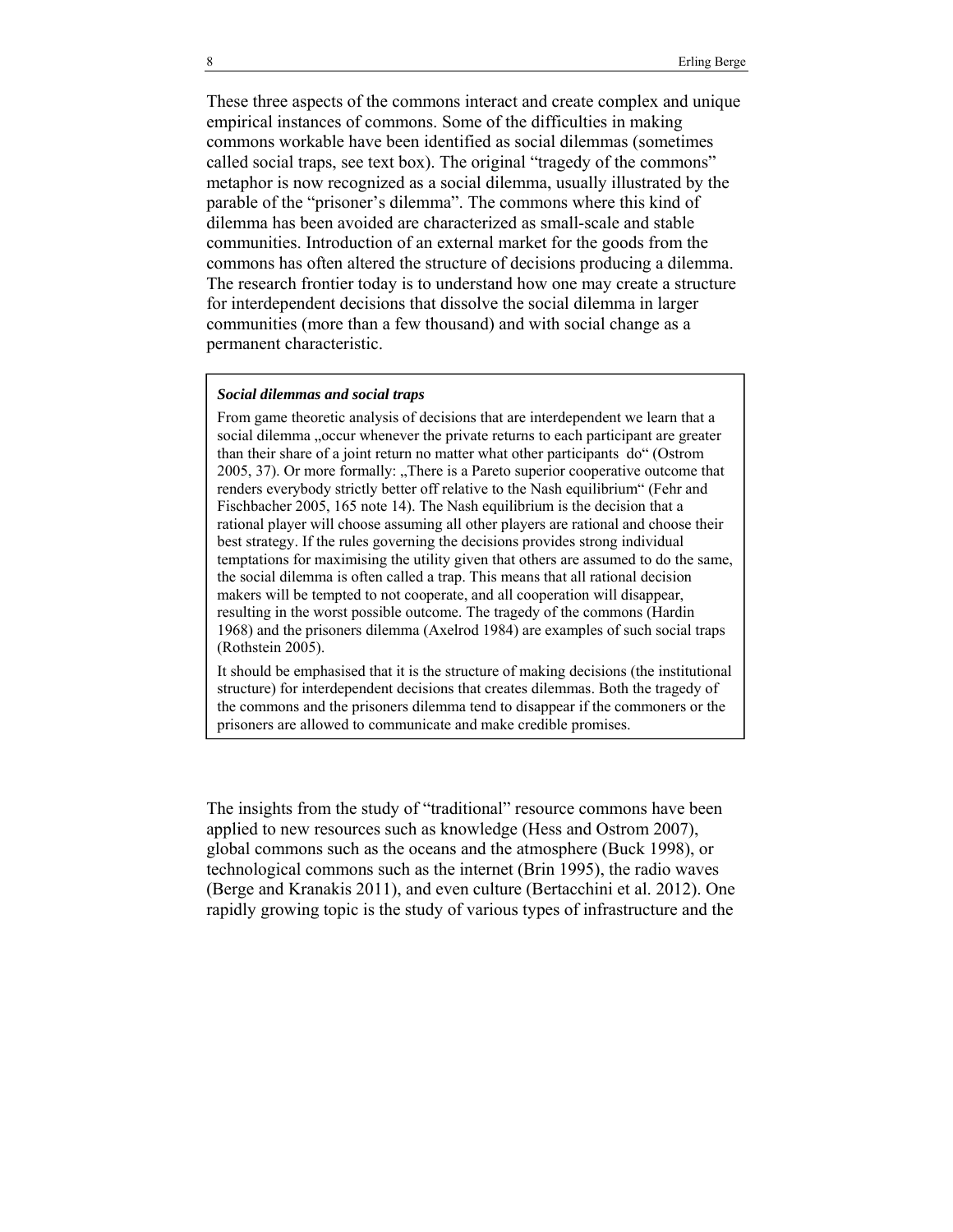These three aspects of the commons interact and create complex and unique empirical instances of commons. Some of the difficulties in making commons workable have been identified as social dilemmas (sometimes called social traps, see text box). The original "tragedy of the commons" metaphor is now recognized as a social dilemma, usually illustrated by the parable of the "prisoner's dilemma". The commons where this kind of dilemma has been avoided are characterized as small-scale and stable communities. Introduction of an external market for the goods from the commons has often altered the structure of decisions producing a dilemma. The research frontier today is to understand how one may create a structure for interdependent decisions that dissolve the social dilemma in larger communities (more than a few thousand) and with social change as a permanent characteristic.

#### *Social dilemmas and social traps*

From game theoretic analysis of decisions that are interdependent we learn that a social dilemma "occur whenever the private returns to each participant are greater than their share of a joint return no matter what other participants do" (Ostrom 2005, 37). Or more formally: "There is a Pareto superior cooperative outcome that renders everybody strictly better off relative to the Nash equilibrium" (Fehr and Fischbacher 2005, 165 note 14). The Nash equilibrium is the decision that a rational player will choose assuming all other players are rational and choose their best strategy. If the rules governing the decisions provides strong individual temptations for maximising the utility given that others are assumed to do the same, the social dilemma is often called a trap. This means that all rational decision makers will be tempted to not cooperate, and all cooperation will disappear, resulting in the worst possible outcome. The tragedy of the commons (Hardin 1968) and the prisoners dilemma (Axelrod 1984) are examples of such social traps (Rothstein 2005).

It should be emphasised that it is the structure of making decisions (the institutional structure) for interdependent decisions that creates dilemmas. Both the tragedy of the commons and the prisoners dilemma tend to disappear if the commoners or the prisoners are allowed to communicate and make credible promises.

The insights from the study of "traditional" resource commons have been applied to new resources such as knowledge (Hess and Ostrom 2007), global commons such as the oceans and the atmosphere (Buck 1998), or technological commons such as the internet (Brin 1995), the radio waves (Berge and Kranakis 2011), and even culture (Bertacchini et al. 2012). One rapidly growing topic is the study of various types of infrastructure and the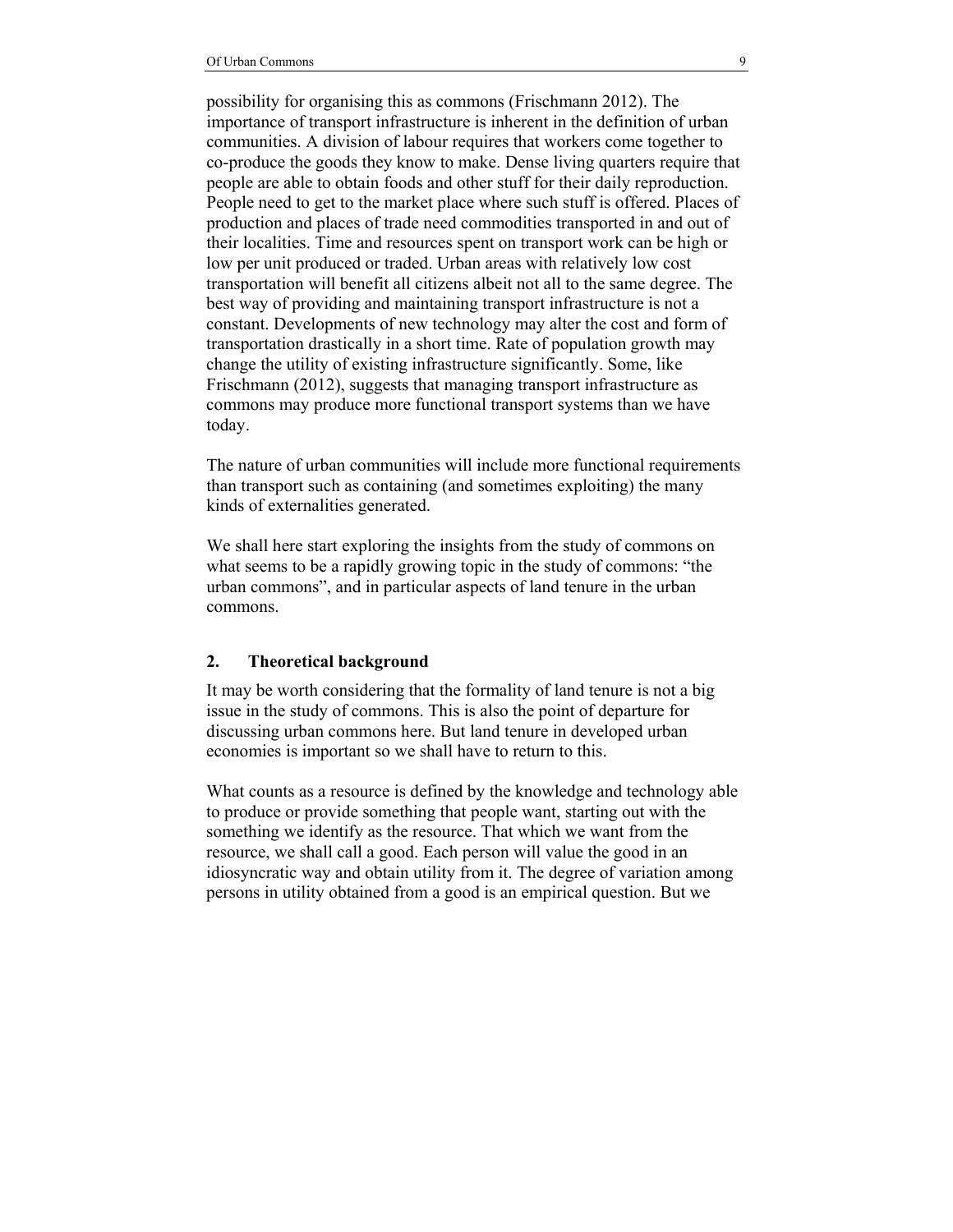possibility for organising this as commons (Frischmann 2012). The importance of transport infrastructure is inherent in the definition of urban communities. A division of labour requires that workers come together to co-produce the goods they know to make. Dense living quarters require that people are able to obtain foods and other stuff for their daily reproduction. People need to get to the market place where such stuff is offered. Places of production and places of trade need commodities transported in and out of their localities. Time and resources spent on transport work can be high or low per unit produced or traded. Urban areas with relatively low cost transportation will benefit all citizens albeit not all to the same degree. The best way of providing and maintaining transport infrastructure is not a constant. Developments of new technology may alter the cost and form of transportation drastically in a short time. Rate of population growth may change the utility of existing infrastructure significantly. Some, like Frischmann (2012), suggests that managing transport infrastructure as commons may produce more functional transport systems than we have today.

The nature of urban communities will include more functional requirements than transport such as containing (and sometimes exploiting) the many kinds of externalities generated.

We shall here start exploring the insights from the study of commons on what seems to be a rapidly growing topic in the study of commons: "the urban commons", and in particular aspects of land tenure in the urban commons.

#### **2. Theoretical background**

It may be worth considering that the formality of land tenure is not a big issue in the study of commons. This is also the point of departure for discussing urban commons here. But land tenure in developed urban economies is important so we shall have to return to this.

What counts as a resource is defined by the knowledge and technology able to produce or provide something that people want, starting out with the something we identify as the resource. That which we want from the resource, we shall call a good. Each person will value the good in an idiosyncratic way and obtain utility from it. The degree of variation among persons in utility obtained from a good is an empirical question. But we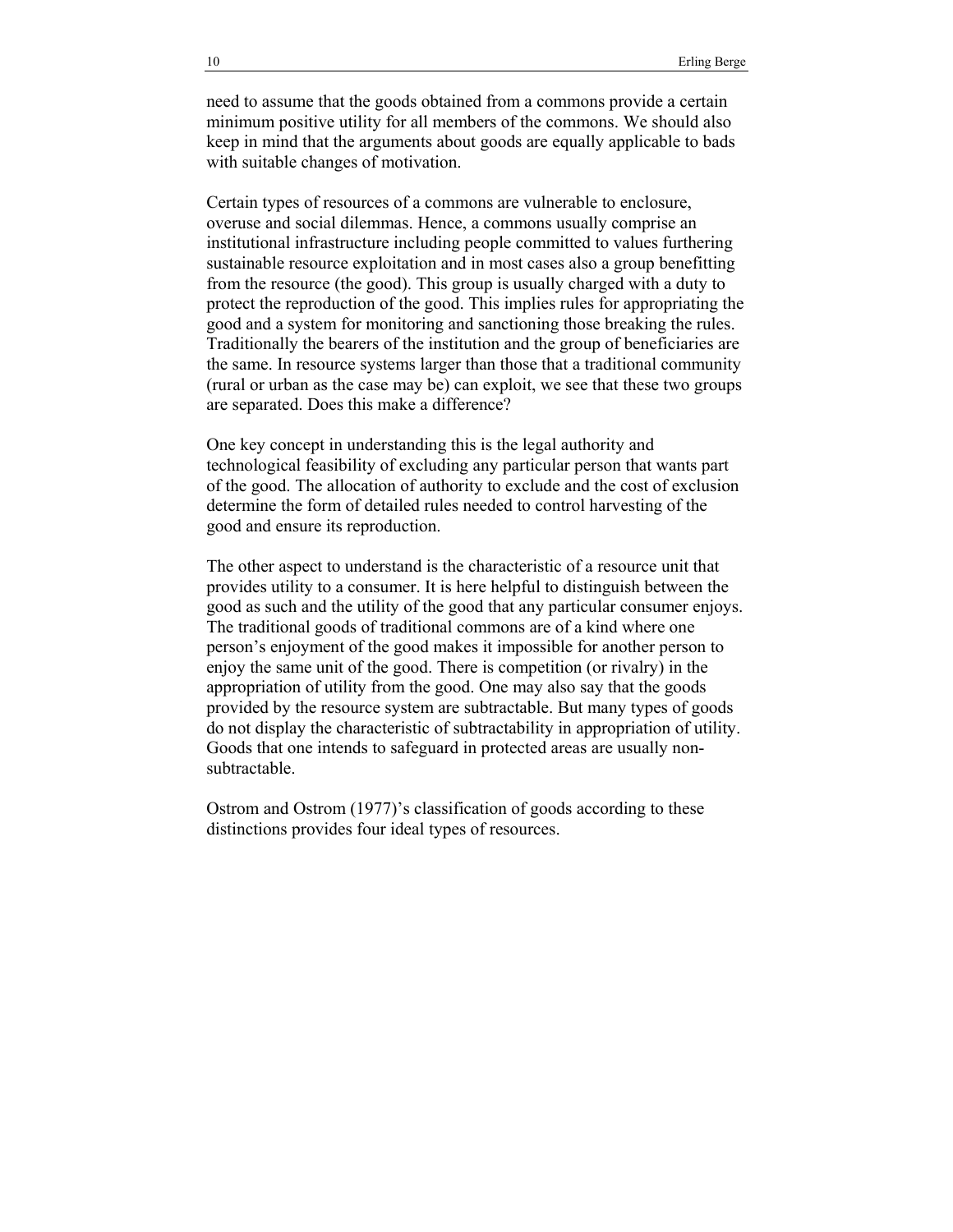need to assume that the goods obtained from a commons provide a certain minimum positive utility for all members of the commons. We should also keep in mind that the arguments about goods are equally applicable to bads with suitable changes of motivation.

Certain types of resources of a commons are vulnerable to enclosure, overuse and social dilemmas. Hence, a commons usually comprise an institutional infrastructure including people committed to values furthering sustainable resource exploitation and in most cases also a group benefitting from the resource (the good). This group is usually charged with a duty to protect the reproduction of the good. This implies rules for appropriating the good and a system for monitoring and sanctioning those breaking the rules. Traditionally the bearers of the institution and the group of beneficiaries are the same. In resource systems larger than those that a traditional community (rural or urban as the case may be) can exploit, we see that these two groups are separated. Does this make a difference?

One key concept in understanding this is the legal authority and technological feasibility of excluding any particular person that wants part of the good. The allocation of authority to exclude and the cost of exclusion determine the form of detailed rules needed to control harvesting of the good and ensure its reproduction.

The other aspect to understand is the characteristic of a resource unit that provides utility to a consumer. It is here helpful to distinguish between the good as such and the utility of the good that any particular consumer enjoys. The traditional goods of traditional commons are of a kind where one person's enjoyment of the good makes it impossible for another person to enjoy the same unit of the good. There is competition (or rivalry) in the appropriation of utility from the good. One may also say that the goods provided by the resource system are subtractable. But many types of goods do not display the characteristic of subtractability in appropriation of utility. Goods that one intends to safeguard in protected areas are usually nonsubtractable.

Ostrom and Ostrom (1977)'s classification of goods according to these distinctions provides four ideal types of resources.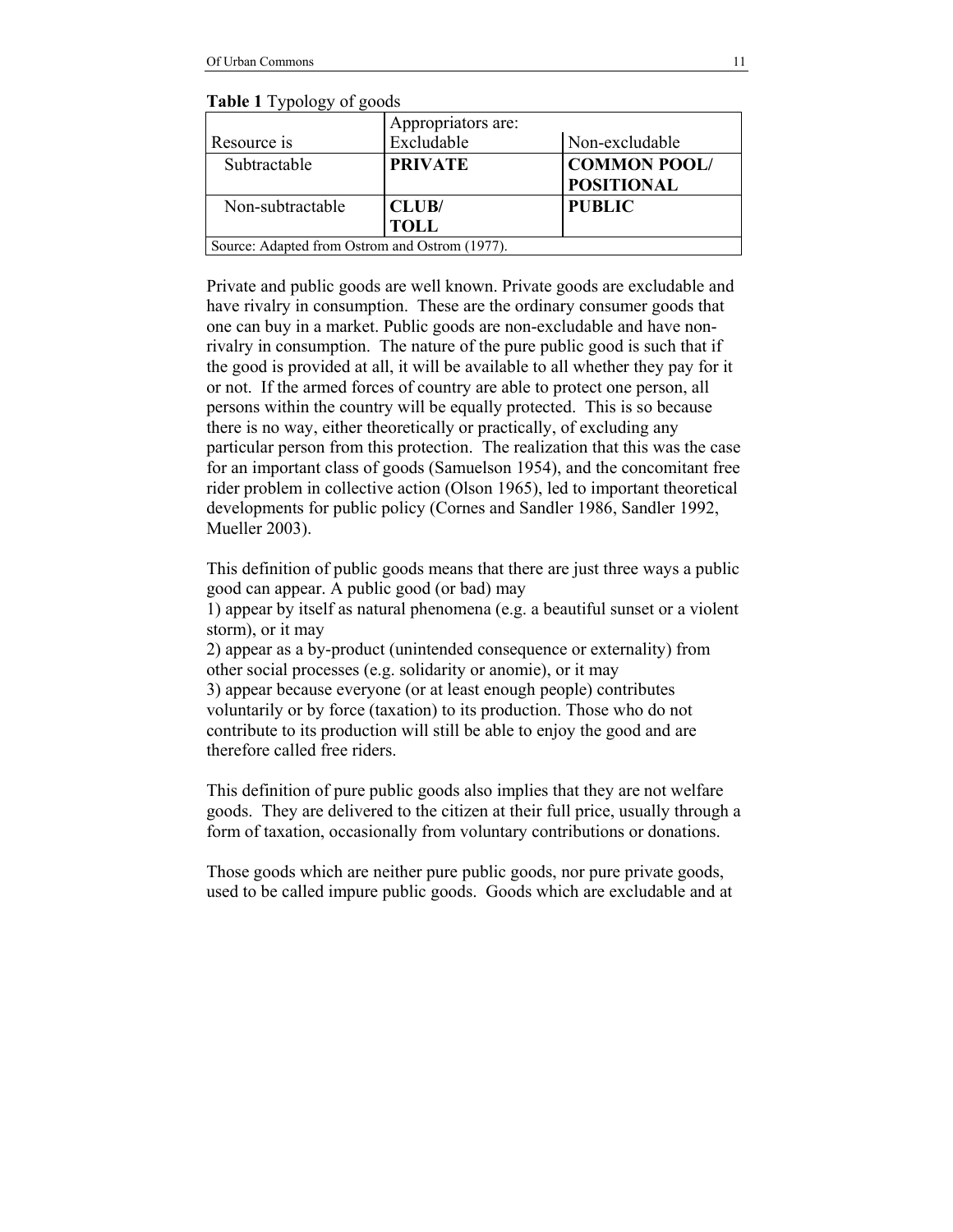**Table 1** Typology of goods

|                                                | Appropriators are: |                     |
|------------------------------------------------|--------------------|---------------------|
| Resource is                                    | Excludable         | Non-excludable      |
| Subtractable                                   | <b>PRIVATE</b>     | <b>COMMON POOL/</b> |
|                                                |                    | <b>POSITIONAL</b>   |
| Non-subtractable                               | CLUB/              | <b>PUBLIC</b>       |
|                                                | <b>TOLL</b>        |                     |
| Source: Adapted from Ostrom and Ostrom (1977). |                    |                     |

Private and public goods are well known. Private goods are excludable and have rivalry in consumption. These are the ordinary consumer goods that one can buy in a market. Public goods are non-excludable and have nonrivalry in consumption. The nature of the pure public good is such that if the good is provided at all, it will be available to all whether they pay for it or not. If the armed forces of country are able to protect one person, all persons within the country will be equally protected. This is so because there is no way, either theoretically or practically, of excluding any particular person from this protection. The realization that this was the case for an important class of goods (Samuelson 1954), and the concomitant free rider problem in collective action (Olson 1965), led to important theoretical developments for public policy (Cornes and Sandler 1986, Sandler 1992, Mueller 2003).

This definition of public goods means that there are just three ways a public good can appear. A public good (or bad) may

1) appear by itself as natural phenomena (e.g. a beautiful sunset or a violent storm), or it may

2) appear as a by-product (unintended consequence or externality) from other social processes (e.g. solidarity or anomie), or it may 3) appear because everyone (or at least enough people) contributes voluntarily or by force (taxation) to its production. Those who do not contribute to its production will still be able to enjoy the good and are therefore called free riders.

This definition of pure public goods also implies that they are not welfare goods. They are delivered to the citizen at their full price, usually through a form of taxation, occasionally from voluntary contributions or donations.

Those goods which are neither pure public goods, nor pure private goods, used to be called impure public goods. Goods which are excludable and at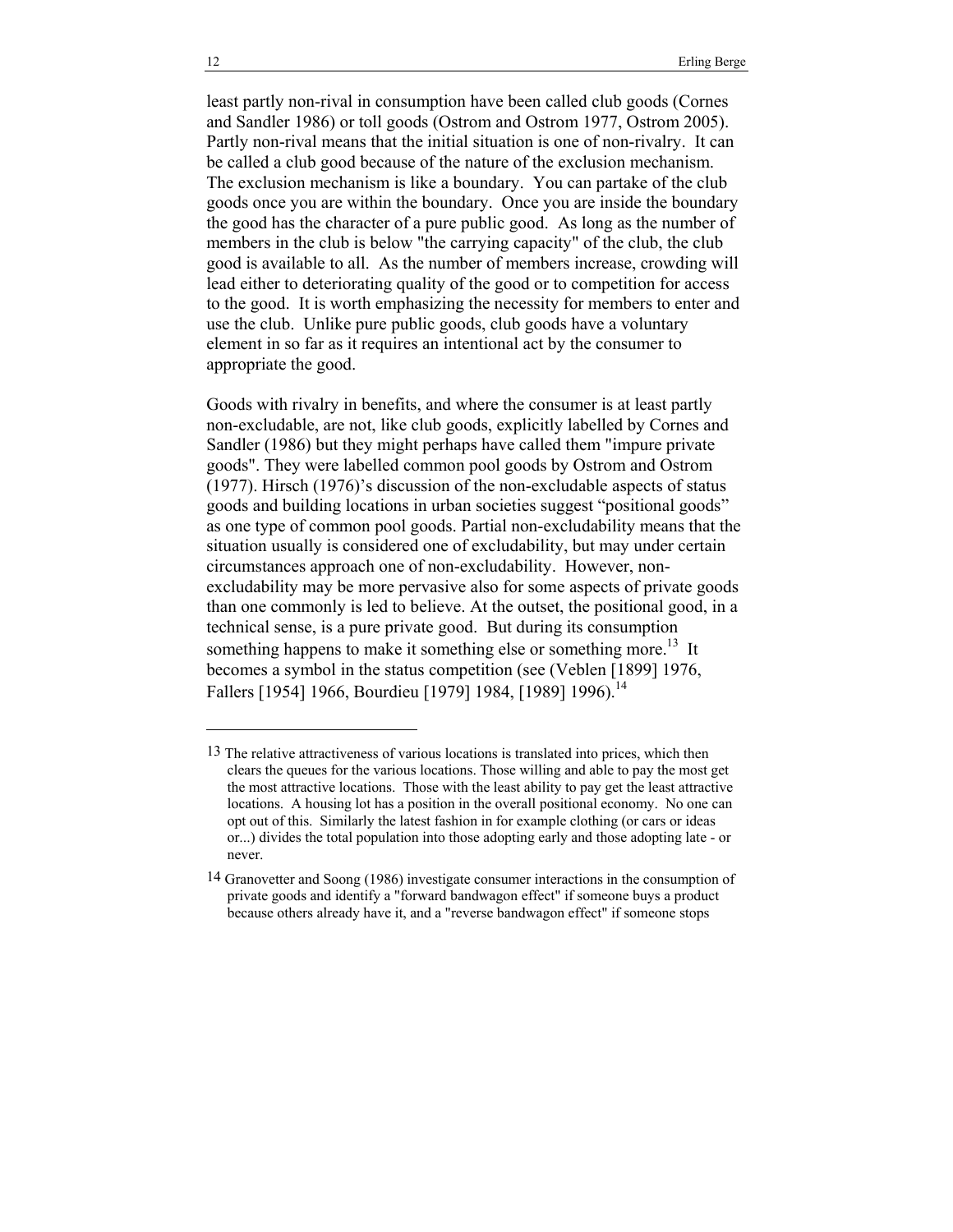least partly non-rival in consumption have been called club goods (Cornes and Sandler 1986) or toll goods (Ostrom and Ostrom 1977, Ostrom 2005). Partly non-rival means that the initial situation is one of non-rivalry. It can be called a club good because of the nature of the exclusion mechanism. The exclusion mechanism is like a boundary. You can partake of the club goods once you are within the boundary. Once you are inside the boundary the good has the character of a pure public good. As long as the number of members in the club is below "the carrying capacity" of the club, the club good is available to all. As the number of members increase, crowding will lead either to deteriorating quality of the good or to competition for access to the good. It is worth emphasizing the necessity for members to enter and use the club. Unlike pure public goods, club goods have a voluntary element in so far as it requires an intentional act by the consumer to appropriate the good.

Goods with rivalry in benefits, and where the consumer is at least partly non-excludable, are not, like club goods, explicitly labelled by Cornes and Sandler (1986) but they might perhaps have called them "impure private goods". They were labelled common pool goods by Ostrom and Ostrom (1977). Hirsch (1976)'s discussion of the non-excludable aspects of status goods and building locations in urban societies suggest "positional goods" as one type of common pool goods. Partial non-excludability means that the situation usually is considered one of excludability, but may under certain circumstances approach one of non-excludability. However, nonexcludability may be more pervasive also for some aspects of private goods than one commonly is led to believe. At the outset, the positional good, in a technical sense, is a pure private good. But during its consumption something happens to make it something else or something more.<sup>13</sup> It becomes a symbol in the status competition (see (Veblen [1899] 1976, Fallers [1954] 1966, Bourdieu [1979] 1984, [1989] 1996).<sup>14</sup>

l

<sup>13</sup> The relative attractiveness of various locations is translated into prices, which then clears the queues for the various locations. Those willing and able to pay the most get the most attractive locations. Those with the least ability to pay get the least attractive locations. A housing lot has a position in the overall positional economy. No one can opt out of this. Similarly the latest fashion in for example clothing (or cars or ideas or...) divides the total population into those adopting early and those adopting late - or never.

<sup>14</sup> Granovetter and Soong (1986) investigate consumer interactions in the consumption of private goods and identify a "forward bandwagon effect" if someone buys a product because others already have it, and a "reverse bandwagon effect" if someone stops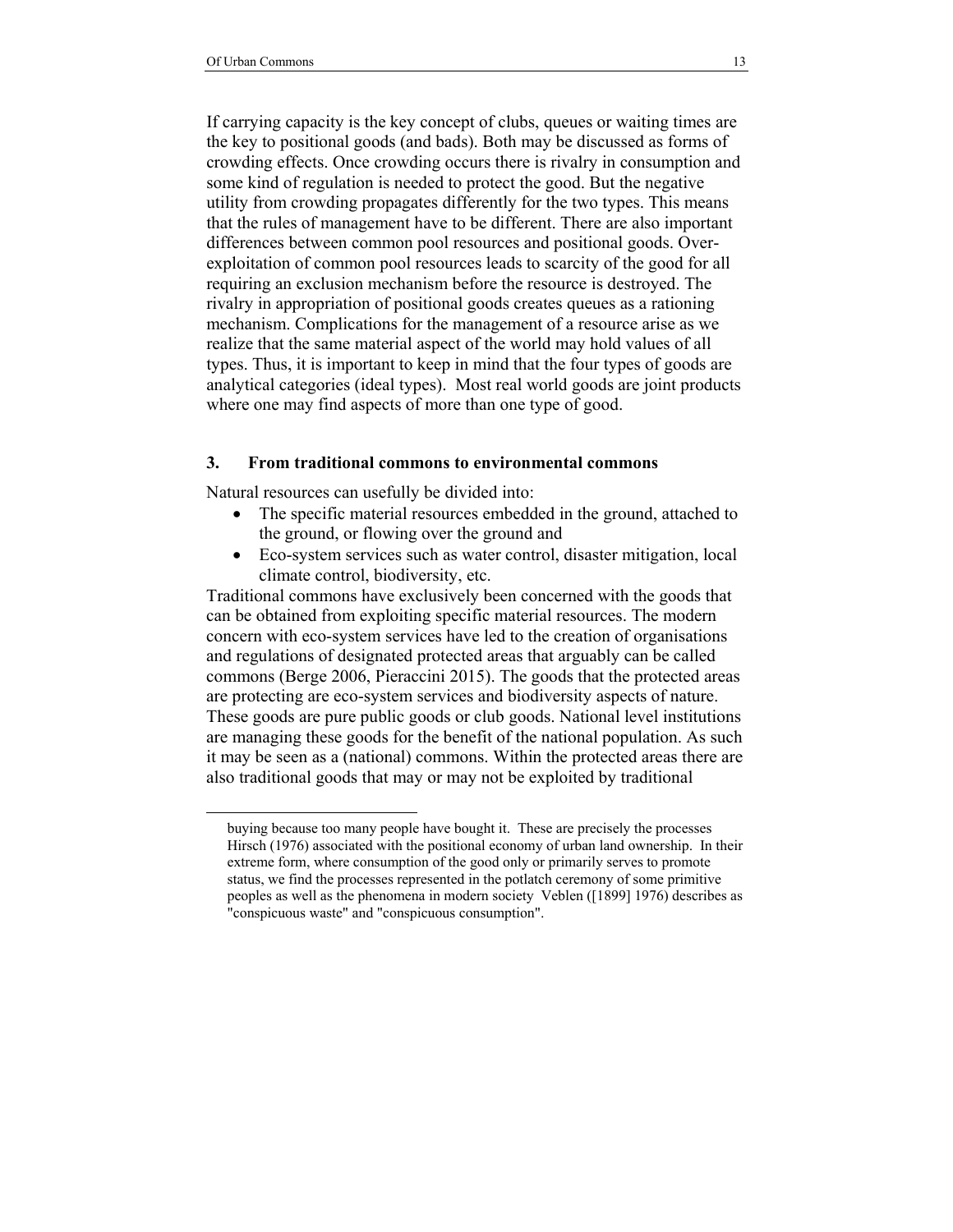l

If carrying capacity is the key concept of clubs, queues or waiting times are the key to positional goods (and bads). Both may be discussed as forms of crowding effects. Once crowding occurs there is rivalry in consumption and some kind of regulation is needed to protect the good. But the negative utility from crowding propagates differently for the two types. This means that the rules of management have to be different. There are also important differences between common pool resources and positional goods. Overexploitation of common pool resources leads to scarcity of the good for all requiring an exclusion mechanism before the resource is destroyed. The rivalry in appropriation of positional goods creates queues as a rationing mechanism. Complications for the management of a resource arise as we realize that the same material aspect of the world may hold values of all types. Thus, it is important to keep in mind that the four types of goods are analytical categories (ideal types). Most real world goods are joint products where one may find aspects of more than one type of good.

#### **3. From traditional commons to environmental commons**

Natural resources can usefully be divided into:

- The specific material resources embedded in the ground, attached to the ground, or flowing over the ground and
- Eco-system services such as water control, disaster mitigation, local climate control, biodiversity, etc.

Traditional commons have exclusively been concerned with the goods that can be obtained from exploiting specific material resources. The modern concern with eco-system services have led to the creation of organisations and regulations of designated protected areas that arguably can be called commons (Berge 2006, Pieraccini 2015). The goods that the protected areas are protecting are eco-system services and biodiversity aspects of nature. These goods are pure public goods or club goods. National level institutions are managing these goods for the benefit of the national population. As such it may be seen as a (national) commons. Within the protected areas there are also traditional goods that may or may not be exploited by traditional

buying because too many people have bought it. These are precisely the processes Hirsch (1976) associated with the positional economy of urban land ownership. In their extreme form, where consumption of the good only or primarily serves to promote status, we find the processes represented in the potlatch ceremony of some primitive peoples as well as the phenomena in modern society Veblen ([1899] 1976) describes as "conspicuous waste" and "conspicuous consumption".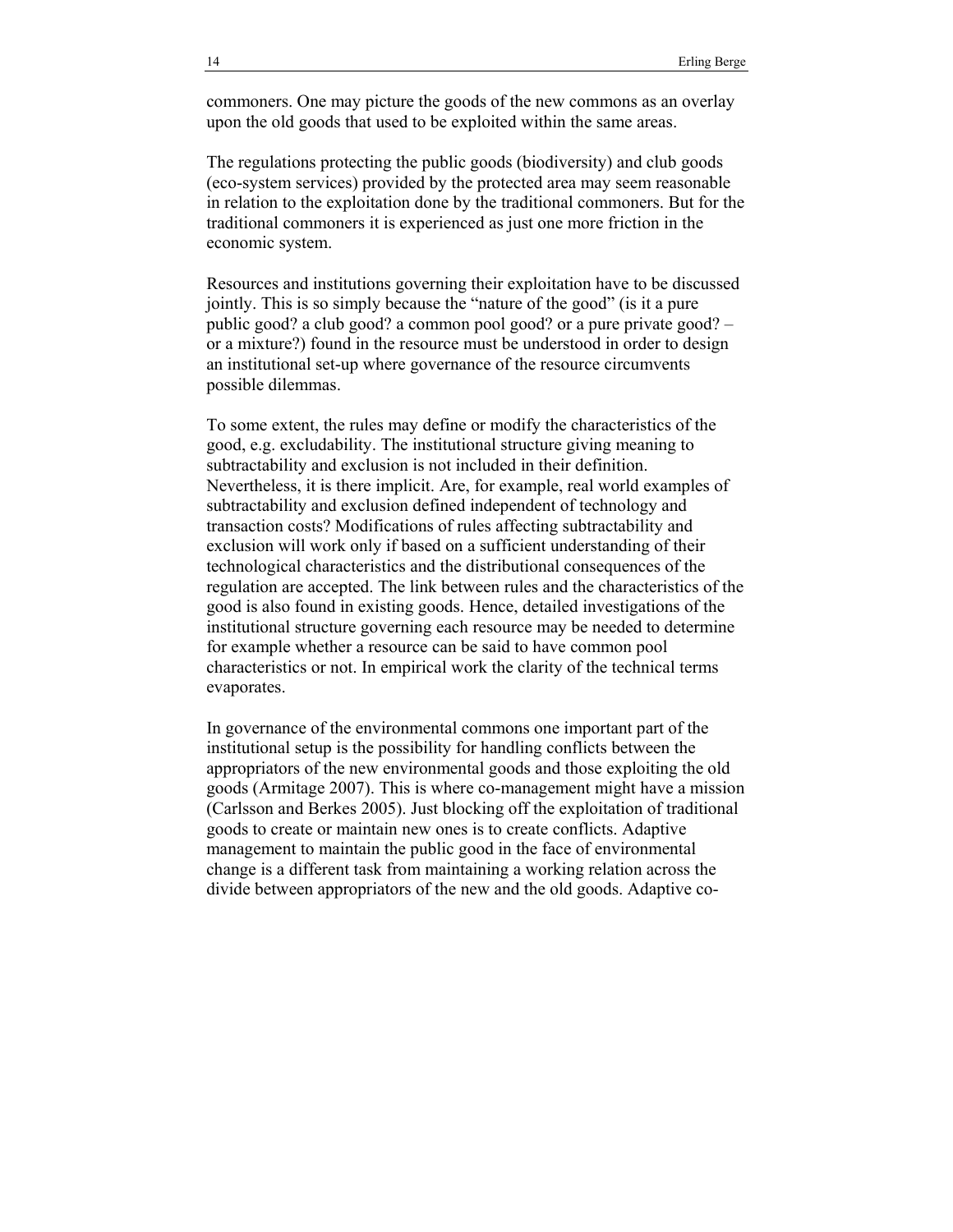commoners. One may picture the goods of the new commons as an overlay upon the old goods that used to be exploited within the same areas.

The regulations protecting the public goods (biodiversity) and club goods (eco-system services) provided by the protected area may seem reasonable in relation to the exploitation done by the traditional commoners. But for the traditional commoners it is experienced as just one more friction in the economic system.

Resources and institutions governing their exploitation have to be discussed jointly. This is so simply because the "nature of the good" (is it a pure public good? a club good? a common pool good? or a pure private good? – or a mixture?) found in the resource must be understood in order to design an institutional set-up where governance of the resource circumvents possible dilemmas.

To some extent, the rules may define or modify the characteristics of the good, e.g. excludability. The institutional structure giving meaning to subtractability and exclusion is not included in their definition. Nevertheless, it is there implicit. Are, for example, real world examples of subtractability and exclusion defined independent of technology and transaction costs? Modifications of rules affecting subtractability and exclusion will work only if based on a sufficient understanding of their technological characteristics and the distributional consequences of the regulation are accepted. The link between rules and the characteristics of the good is also found in existing goods. Hence, detailed investigations of the institutional structure governing each resource may be needed to determine for example whether a resource can be said to have common pool characteristics or not. In empirical work the clarity of the technical terms evaporates.

In governance of the environmental commons one important part of the institutional setup is the possibility for handling conflicts between the appropriators of the new environmental goods and those exploiting the old goods (Armitage 2007). This is where co-management might have a mission (Carlsson and Berkes 2005). Just blocking off the exploitation of traditional goods to create or maintain new ones is to create conflicts. Adaptive management to maintain the public good in the face of environmental change is a different task from maintaining a working relation across the divide between appropriators of the new and the old goods. Adaptive co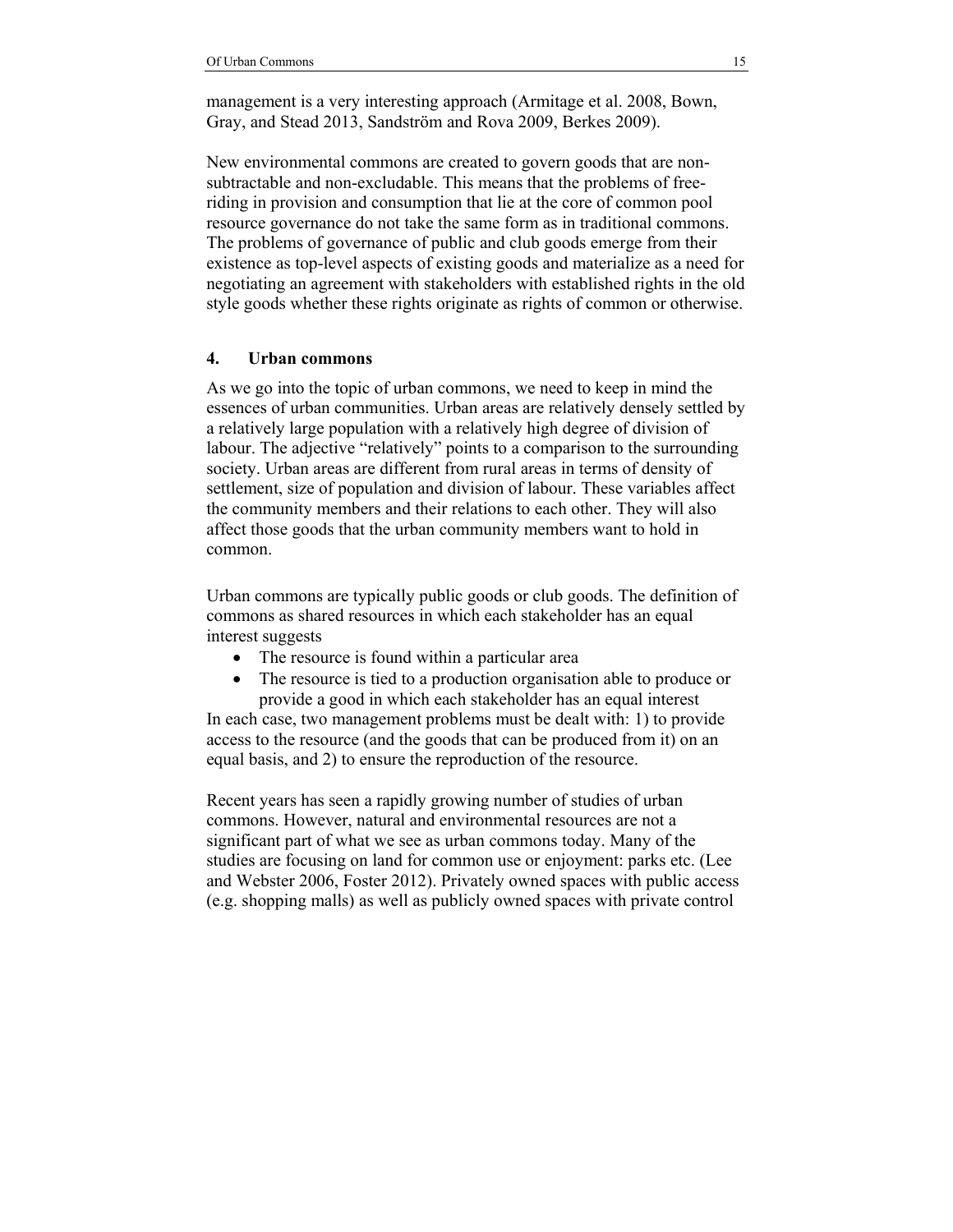management is a very interesting approach (Armitage et al. 2008, Bown, Gray, and Stead 2013, Sandström and Rova 2009, Berkes 2009).

New environmental commons are created to govern goods that are nonsubtractable and non-excludable. This means that the problems of freeriding in provision and consumption that lie at the core of common pool resource governance do not take the same form as in traditional commons. The problems of governance of public and club goods emerge from their existence as top-level aspects of existing goods and materialize as a need for negotiating an agreement with stakeholders with established rights in the old style goods whether these rights originate as rights of common or otherwise.

### **4. Urban commons**

As we go into the topic of urban commons, we need to keep in mind the essences of urban communities. Urban areas are relatively densely settled by a relatively large population with a relatively high degree of division of labour. The adjective "relatively" points to a comparison to the surrounding society. Urban areas are different from rural areas in terms of density of settlement, size of population and division of labour. These variables affect the community members and their relations to each other. They will also affect those goods that the urban community members want to hold in common.

Urban commons are typically public goods or club goods. The definition of commons as shared resources in which each stakeholder has an equal interest suggests

- The resource is found within a particular area
- The resource is tied to a production organisation able to produce or provide a good in which each stakeholder has an equal interest

In each case, two management problems must be dealt with: 1) to provide access to the resource (and the goods that can be produced from it) on an equal basis, and 2) to ensure the reproduction of the resource.

Recent years has seen a rapidly growing number of studies of urban commons. However, natural and environmental resources are not a significant part of what we see as urban commons today. Many of the studies are focusing on land for common use or enjoyment: parks etc. (Lee and Webster 2006, Foster 2012). Privately owned spaces with public access (e.g. shopping malls) as well as publicly owned spaces with private control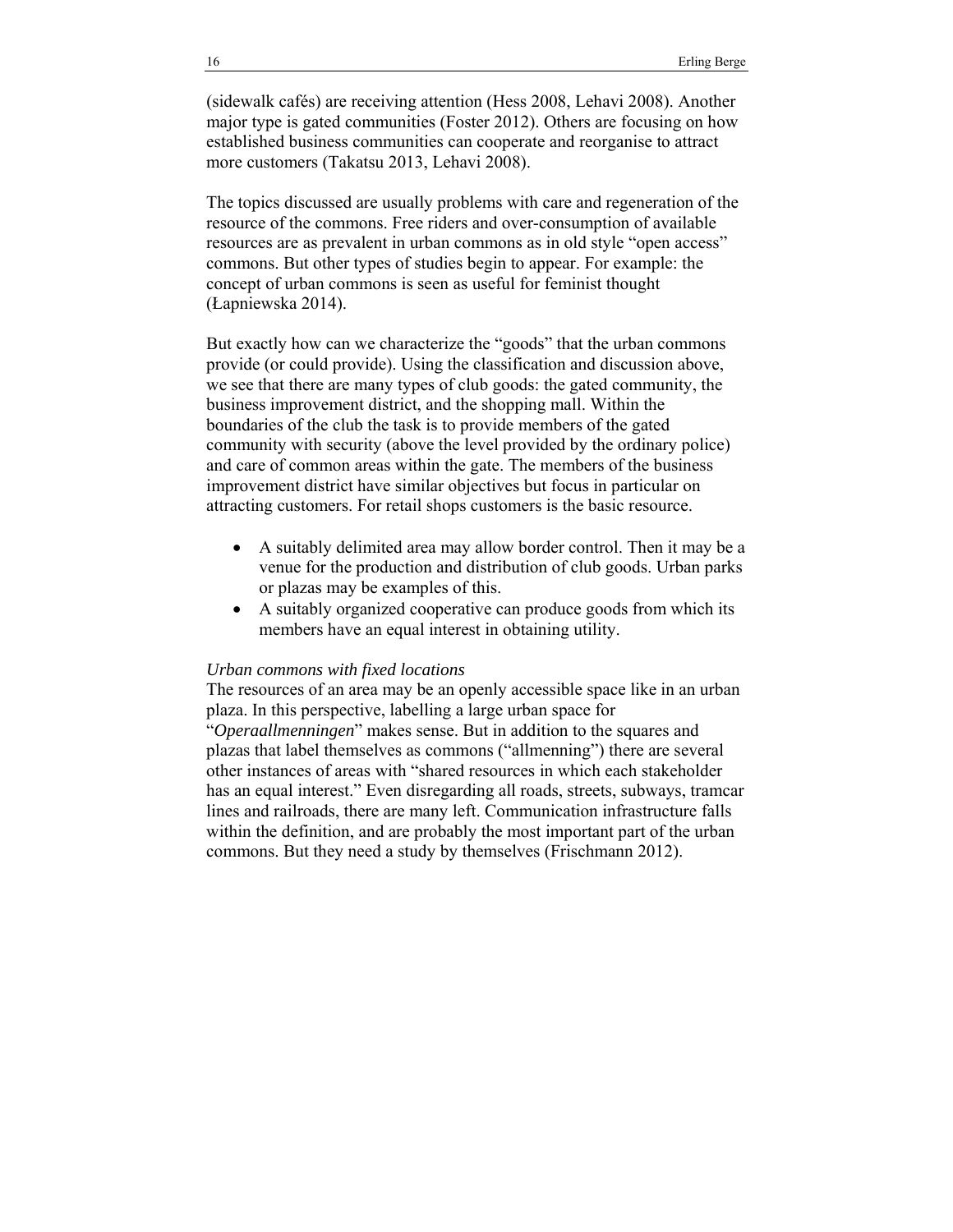(sidewalk cafés) are receiving attention (Hess 2008, Lehavi 2008). Another major type is gated communities (Foster 2012). Others are focusing on how established business communities can cooperate and reorganise to attract more customers (Takatsu 2013, Lehavi 2008).

The topics discussed are usually problems with care and regeneration of the resource of the commons. Free riders and over-consumption of available resources are as prevalent in urban commons as in old style "open access" commons. But other types of studies begin to appear. For example: the concept of urban commons is seen as useful for feminist thought (Łapniewska 2014).

But exactly how can we characterize the "goods" that the urban commons provide (or could provide). Using the classification and discussion above, we see that there are many types of club goods: the gated community, the business improvement district, and the shopping mall. Within the boundaries of the club the task is to provide members of the gated community with security (above the level provided by the ordinary police) and care of common areas within the gate. The members of the business improvement district have similar objectives but focus in particular on attracting customers. For retail shops customers is the basic resource.

- A suitably delimited area may allow border control. Then it may be a venue for the production and distribution of club goods. Urban parks or plazas may be examples of this.
- A suitably organized cooperative can produce goods from which its members have an equal interest in obtaining utility.

#### *Urban commons with fixed locations*

The resources of an area may be an openly accessible space like in an urban plaza. In this perspective, labelling a large urban space for "*Operaallmenningen*" makes sense. But in addition to the squares and plazas that label themselves as commons ("allmenning") there are several other instances of areas with "shared resources in which each stakeholder has an equal interest." Even disregarding all roads, streets, subways, tramcar lines and railroads, there are many left. Communication infrastructure falls within the definition, and are probably the most important part of the urban commons. But they need a study by themselves (Frischmann 2012).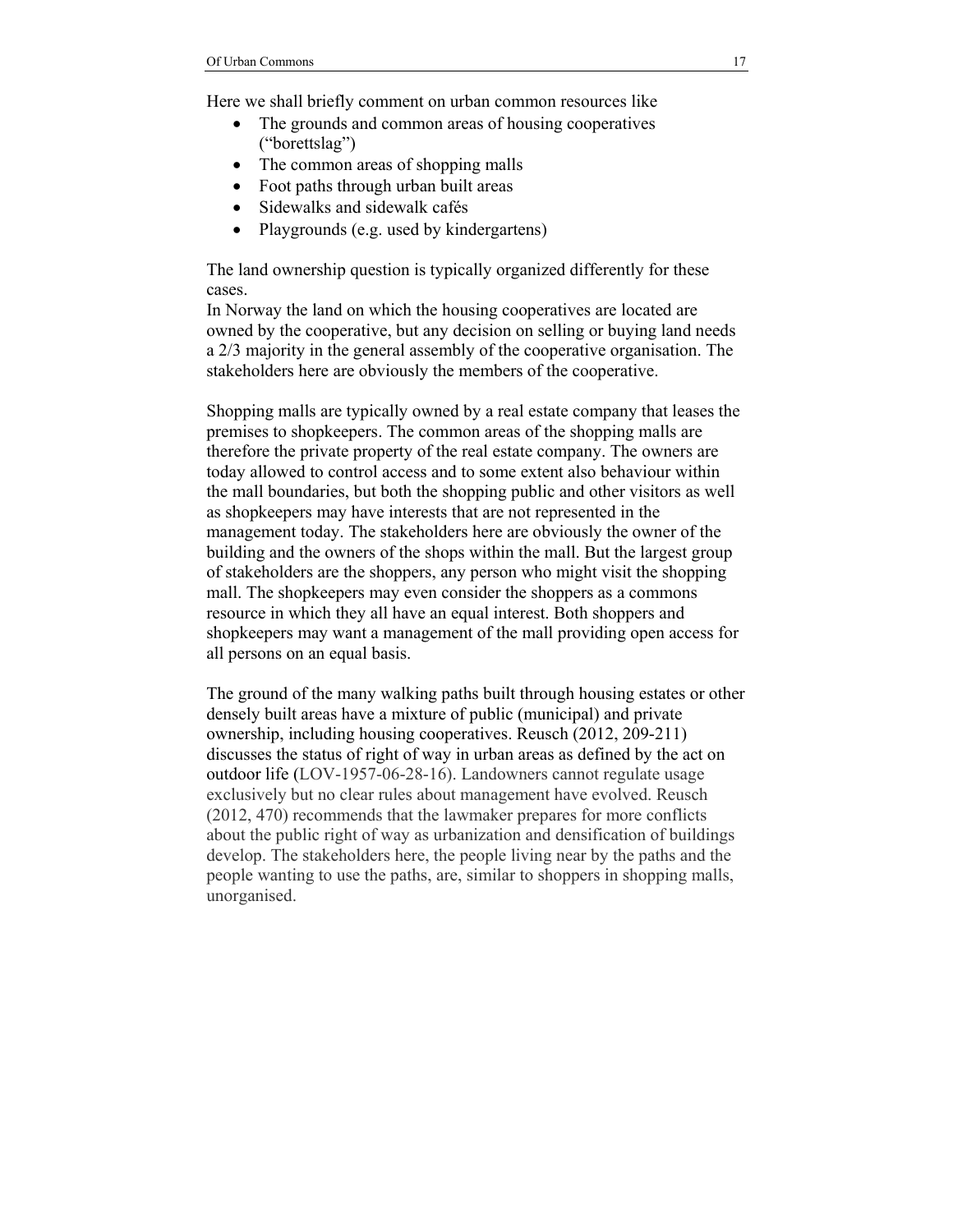Here we shall briefly comment on urban common resources like

- The grounds and common areas of housing cooperatives ("borettslag")
- The common areas of shopping malls
- Foot paths through urban built areas
- Sidewalks and sidewalk cafés
- Playgrounds (e.g. used by kindergartens)

The land ownership question is typically organized differently for these cases.

In Norway the land on which the housing cooperatives are located are owned by the cooperative, but any decision on selling or buying land needs a 2/3 majority in the general assembly of the cooperative organisation. The stakeholders here are obviously the members of the cooperative.

Shopping malls are typically owned by a real estate company that leases the premises to shopkeepers. The common areas of the shopping malls are therefore the private property of the real estate company. The owners are today allowed to control access and to some extent also behaviour within the mall boundaries, but both the shopping public and other visitors as well as shopkeepers may have interests that are not represented in the management today. The stakeholders here are obviously the owner of the building and the owners of the shops within the mall. But the largest group of stakeholders are the shoppers, any person who might visit the shopping mall. The shopkeepers may even consider the shoppers as a commons resource in which they all have an equal interest. Both shoppers and shopkeepers may want a management of the mall providing open access for all persons on an equal basis.

The ground of the many walking paths built through housing estates or other densely built areas have a mixture of public (municipal) and private ownership, including housing cooperatives. Reusch (2012, 209-211) discusses the status of right of way in urban areas as defined by the act on outdoor life (LOV-1957-06-28-16). Landowners cannot regulate usage exclusively but no clear rules about management have evolved. Reusch (2012, 470) recommends that the lawmaker prepares for more conflicts about the public right of way as urbanization and densification of buildings develop. The stakeholders here, the people living near by the paths and the people wanting to use the paths, are, similar to shoppers in shopping malls, unorganised.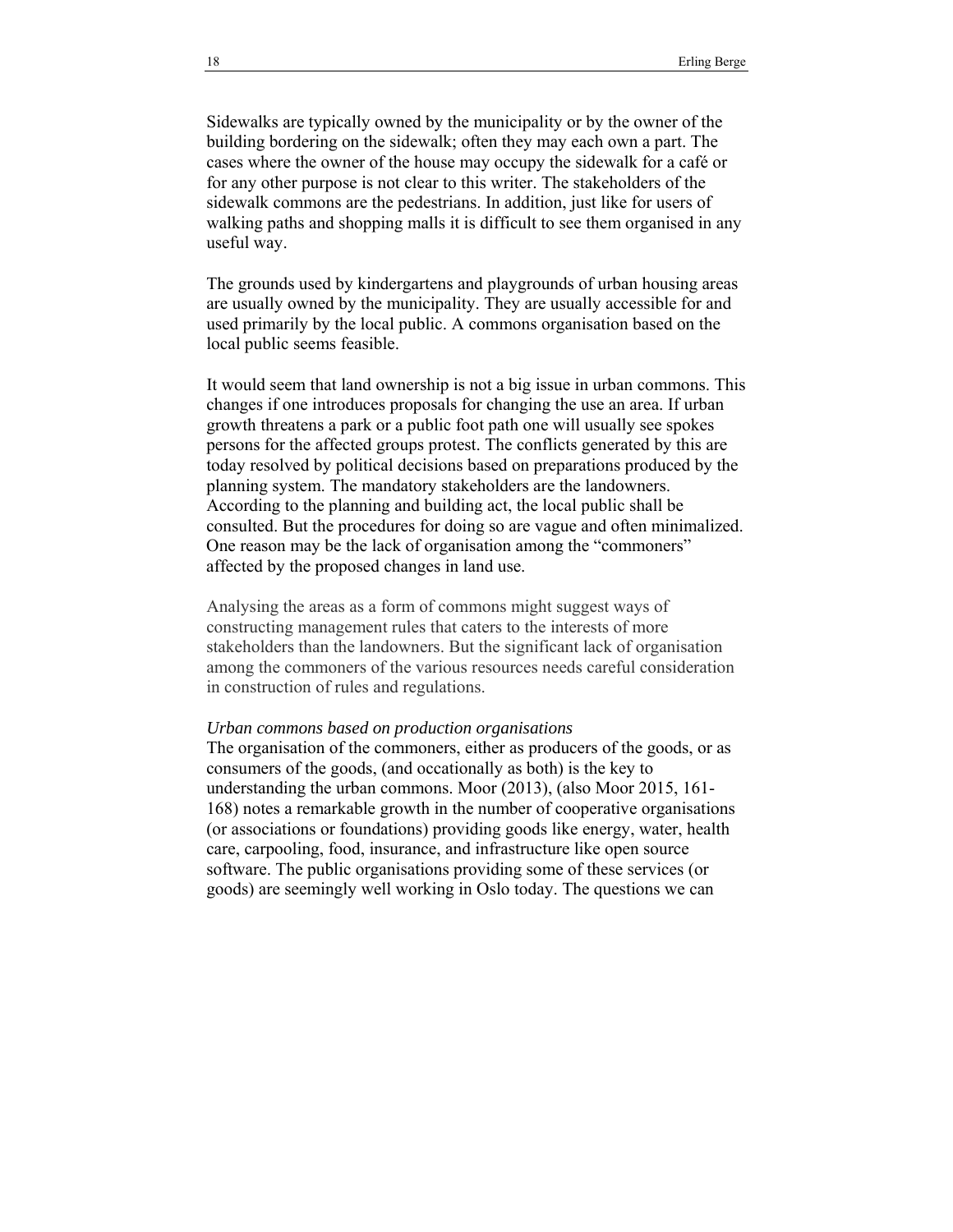Sidewalks are typically owned by the municipality or by the owner of the building bordering on the sidewalk; often they may each own a part. The cases where the owner of the house may occupy the sidewalk for a café or for any other purpose is not clear to this writer. The stakeholders of the sidewalk commons are the pedestrians. In addition, just like for users of walking paths and shopping malls it is difficult to see them organised in any useful way.

The grounds used by kindergartens and playgrounds of urban housing areas are usually owned by the municipality. They are usually accessible for and used primarily by the local public. A commons organisation based on the local public seems feasible.

It would seem that land ownership is not a big issue in urban commons. This changes if one introduces proposals for changing the use an area. If urban growth threatens a park or a public foot path one will usually see spokes persons for the affected groups protest. The conflicts generated by this are today resolved by political decisions based on preparations produced by the planning system. The mandatory stakeholders are the landowners. According to the planning and building act, the local public shall be consulted. But the procedures for doing so are vague and often minimalized. One reason may be the lack of organisation among the "commoners" affected by the proposed changes in land use.

Analysing the areas as a form of commons might suggest ways of constructing management rules that caters to the interests of more stakeholders than the landowners. But the significant lack of organisation among the commoners of the various resources needs careful consideration in construction of rules and regulations.

#### *Urban commons based on production organisations*

The organisation of the commoners, either as producers of the goods, or as consumers of the goods, (and occationally as both) is the key to understanding the urban commons. Moor (2013), (also Moor 2015, 161- 168) notes a remarkable growth in the number of cooperative organisations (or associations or foundations) providing goods like energy, water, health care, carpooling, food, insurance, and infrastructure like open source software. The public organisations providing some of these services (or goods) are seemingly well working in Oslo today. The questions we can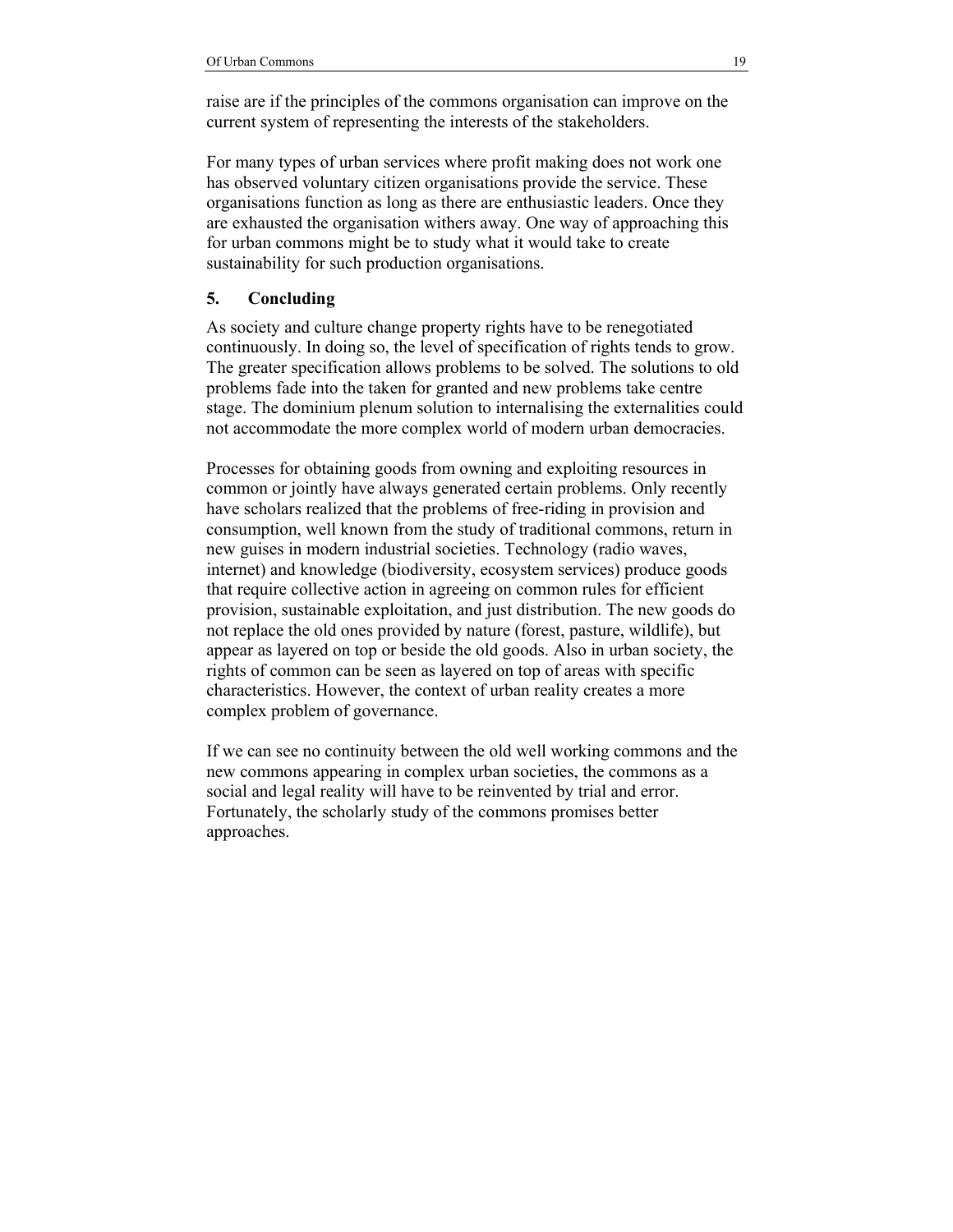raise are if the principles of the commons organisation can improve on the current system of representing the interests of the stakeholders.

For many types of urban services where profit making does not work one has observed voluntary citizen organisations provide the service. These organisations function as long as there are enthusiastic leaders. Once they are exhausted the organisation withers away. One way of approaching this for urban commons might be to study what it would take to create sustainability for such production organisations.

### **5. Concluding**

As society and culture change property rights have to be renegotiated continuously. In doing so, the level of specification of rights tends to grow. The greater specification allows problems to be solved. The solutions to old problems fade into the taken for granted and new problems take centre stage. The dominium plenum solution to internalising the externalities could not accommodate the more complex world of modern urban democracies.

Processes for obtaining goods from owning and exploiting resources in common or jointly have always generated certain problems. Only recently have scholars realized that the problems of free-riding in provision and consumption, well known from the study of traditional commons, return in new guises in modern industrial societies. Technology (radio waves, internet) and knowledge (biodiversity, ecosystem services) produce goods that require collective action in agreeing on common rules for efficient provision, sustainable exploitation, and just distribution. The new goods do not replace the old ones provided by nature (forest, pasture, wildlife), but appear as layered on top or beside the old goods. Also in urban society, the rights of common can be seen as layered on top of areas with specific characteristics. However, the context of urban reality creates a more complex problem of governance.

If we can see no continuity between the old well working commons and the new commons appearing in complex urban societies, the commons as a social and legal reality will have to be reinvented by trial and error. Fortunately, the scholarly study of the commons promises better approaches.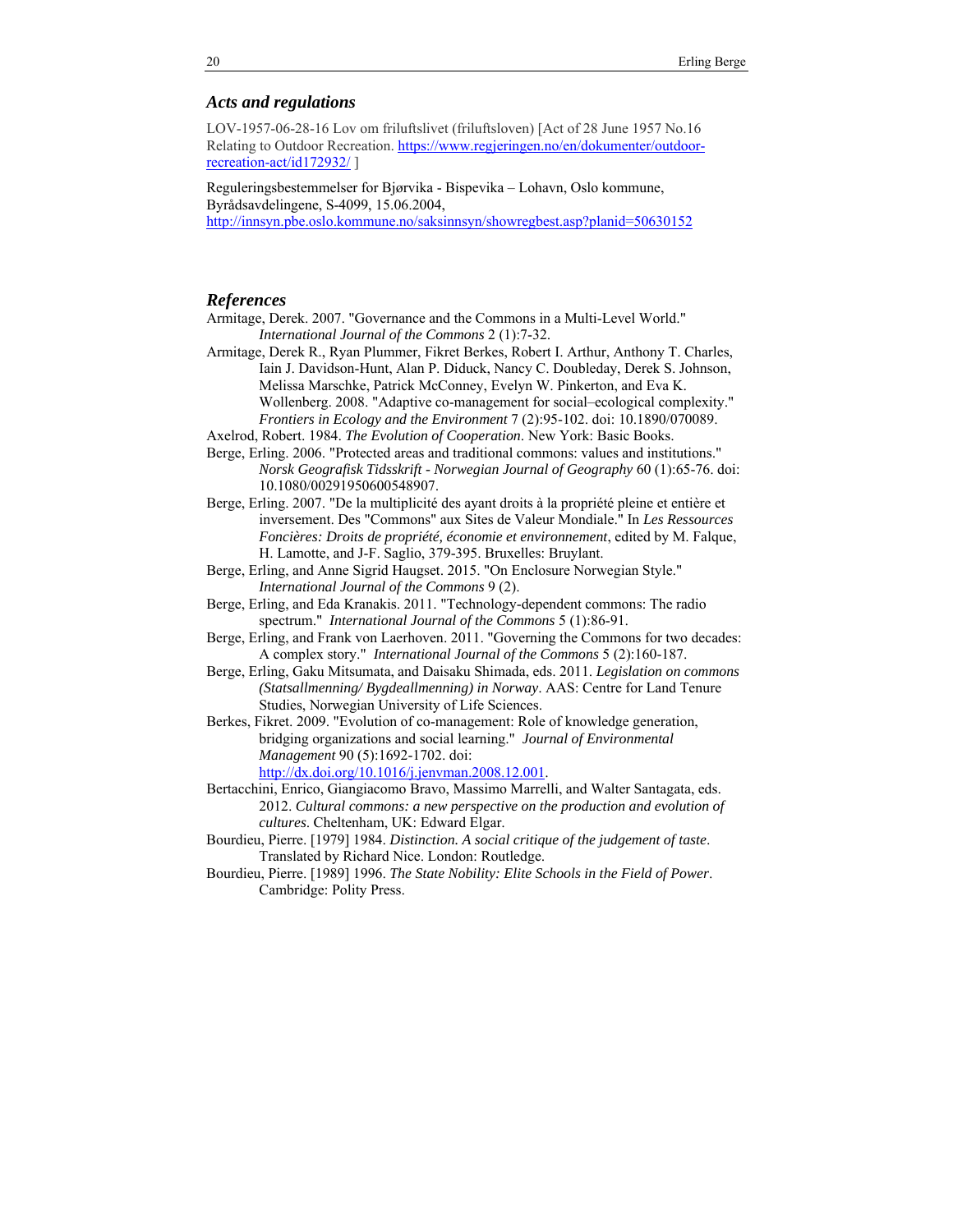#### *Acts and regulations*

LOV-1957-06-28-16 Lov om friluftslivet (friluftsloven) [Act of 28 June 1957 No.16 Relating to Outdoor Recreation. https://www.regjeringen.no/en/dokumenter/outdoorrecreation-act/id172932/ ]

Reguleringsbestemmelser for Bjørvika - Bispevika – Lohavn, Oslo kommune, Byrådsavdelingene, S-4099, 15.06.2004, http://innsyn.pbe.oslo.kommune.no/saksinnsyn/showregbest.asp?planid=50630152

#### *References*

- Armitage, Derek. 2007. "Governance and the Commons in a Multi-Level World." *International Journal of the Commons* 2 (1):7-32.
- Armitage, Derek R., Ryan Plummer, Fikret Berkes, Robert I. Arthur, Anthony T. Charles, Iain J. Davidson-Hunt, Alan P. Diduck, Nancy C. Doubleday, Derek S. Johnson, Melissa Marschke, Patrick McConney, Evelyn W. Pinkerton, and Eva K. Wollenberg. 2008. "Adaptive co-management for social–ecological complexity." *Frontiers in Ecology and the Environment* 7 (2):95-102. doi: 10.1890/070089.
- Axelrod, Robert. 1984. *The Evolution of Cooperation*. New York: Basic Books.
- Berge, Erling. 2006. "Protected areas and traditional commons: values and institutions." *Norsk Geografisk Tidsskrift - Norwegian Journal of Geography* 60 (1):65-76. doi: 10.1080/00291950600548907.
- Berge, Erling. 2007. "De la multiplicité des ayant droits à la propriété pleine et entière et inversement. Des "Commons" aux Sites de Valeur Mondiale." In *Les Ressources Foncières: Droits de propriété, économie et environnement*, edited by M. Falque, H. Lamotte, and J-F. Saglio, 379-395. Bruxelles: Bruylant.
- Berge, Erling, and Anne Sigrid Haugset. 2015. "On Enclosure Norwegian Style." *International Journal of the Commons* 9 (2).
- Berge, Erling, and Eda Kranakis. 2011. "Technology-dependent commons: The radio spectrum." *International Journal of the Commons* 5 (1):86-91.
- Berge, Erling, and Frank von Laerhoven. 2011. "Governing the Commons for two decades: A complex story." *International Journal of the Commons* 5 (2):160-187.
- Berge, Erling, Gaku Mitsumata, and Daisaku Shimada, eds. 2011. *Legislation on commons (Statsallmenning/ Bygdeallmenning) in Norway*. AAS: Centre for Land Tenure Studies, Norwegian University of Life Sciences.
- Berkes, Fikret. 2009. "Evolution of co-management: Role of knowledge generation, bridging organizations and social learning." *Journal of Environmental Management* 90 (5):1692-1702. doi: http://dx.doi.org/10.1016/j.jenvman.2008.12.001.
- Bertacchini, Enrico, Giangiacomo Bravo, Massimo Marrelli, and Walter Santagata, eds. 2012. *Cultural commons: a new perspective on the production and evolution of cultures*. Cheltenham, UK: Edward Elgar.
- Bourdieu, Pierre. [1979] 1984. *Distinction. A social critique of the judgement of taste*. Translated by Richard Nice. London: Routledge.
- Bourdieu, Pierre. [1989] 1996. *The State Nobility: Elite Schools in the Field of Power*. Cambridge: Polity Press.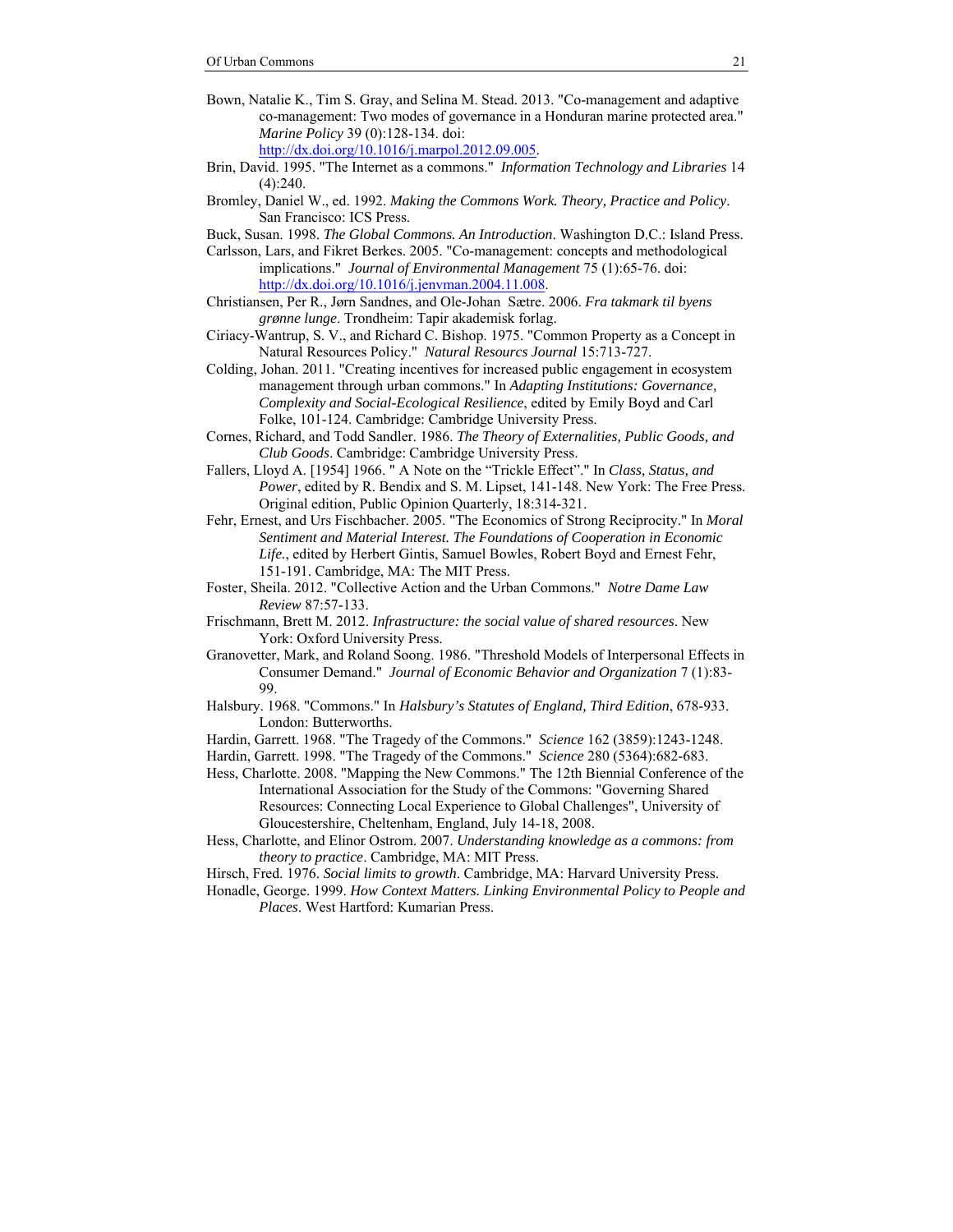- Bown, Natalie K., Tim S. Gray, and Selina M. Stead. 2013. "Co-management and adaptive co-management: Two modes of governance in a Honduran marine protected area." *Marine Policy* 39 (0):128-134. doi: http://dx.doi.org/10.1016/j.marpol.2012.09.005.
- Brin, David. 1995. "The Internet as a commons." *Information Technology and Libraries* 14  $(4)$  240.
- Bromley, Daniel W., ed. 1992. *Making the Commons Work. Theory, Practice and Policy*. San Francisco: ICS Press.
- Buck, Susan. 1998. *The Global Commons. An Introduction*. Washington D.C.: Island Press.
- Carlsson, Lars, and Fikret Berkes. 2005. "Co-management: concepts and methodological implications." *Journal of Environmental Management* 75 (1):65-76. doi: http://dx.doi.org/10.1016/j.jenvman.2004.11.008.
- Christiansen, Per R., Jørn Sandnes, and Ole-Johan Sætre. 2006. *Fra takmark til byens grønne lunge*. Trondheim: Tapir akademisk forlag.
- Ciriacy-Wantrup, S. V., and Richard C. Bishop. 1975. "Common Property as a Concept in Natural Resources Policy." *Natural Resourcs Journal* 15:713-727.
- Colding, Johan. 2011. "Creating incentives for increased public engagement in ecosystem management through urban commons." In *Adapting Institutions: Governance, Complexity and Social-Ecological Resilience*, edited by Emily Boyd and Carl Folke, 101-124. Cambridge: Cambridge University Press.
- Cornes, Richard, and Todd Sandler. 1986. *The Theory of Externalities, Public Goods, and Club Goods*. Cambridge: Cambridge University Press.
- Fallers, Lloyd A. [1954] 1966. " A Note on the "Trickle Effect"." In *Class, Status, and Power*, edited by R. Bendix and S. M. Lipset, 141-148. New York: The Free Press. Original edition, Public Opinion Quarterly, 18:314-321.
- Fehr, Ernest, and Urs Fischbacher. 2005. "The Economics of Strong Reciprocity." In *Moral Sentiment and Material Interest. The Foundations of Cooperation in Economic Life.*, edited by Herbert Gintis, Samuel Bowles, Robert Boyd and Ernest Fehr, 151-191. Cambridge, MA: The MIT Press.
- Foster, Sheila. 2012. "Collective Action and the Urban Commons." *Notre Dame Law Review* 87:57-133.
- Frischmann, Brett M. 2012. *Infrastructure: the social value of shared resources*. New York: Oxford University Press.
- Granovetter, Mark, and Roland Soong. 1986. "Threshold Models of Interpersonal Effects in Consumer Demand." *Journal of Economic Behavior and Organization* 7 (1):83- 99.
- Halsbury. 1968. "Commons." In *Halsbury's Statutes of England, Third Edition*, 678-933. London: Butterworths.
- Hardin, Garrett. 1968. "The Tragedy of the Commons." *Science* 162 (3859):1243-1248.
- Hardin, Garrett. 1998. "The Tragedy of the Commons." *Science* 280 (5364):682-683.
- Hess, Charlotte. 2008. "Mapping the New Commons." The 12th Biennial Conference of the International Association for the Study of the Commons: "Governing Shared Resources: Connecting Local Experience to Global Challenges", University of Gloucestershire, Cheltenham, England, July 14-18, 2008.
- Hess, Charlotte, and Elinor Ostrom. 2007. *Understanding knowledge as a commons: from theory to practice*. Cambridge, MA: MIT Press.
- Hirsch, Fred. 1976. *Social limits to growth*. Cambridge, MA: Harvard University Press.
- Honadle, George. 1999. *How Context Matters. Linking Environmental Policy to People and Places*. West Hartford: Kumarian Press.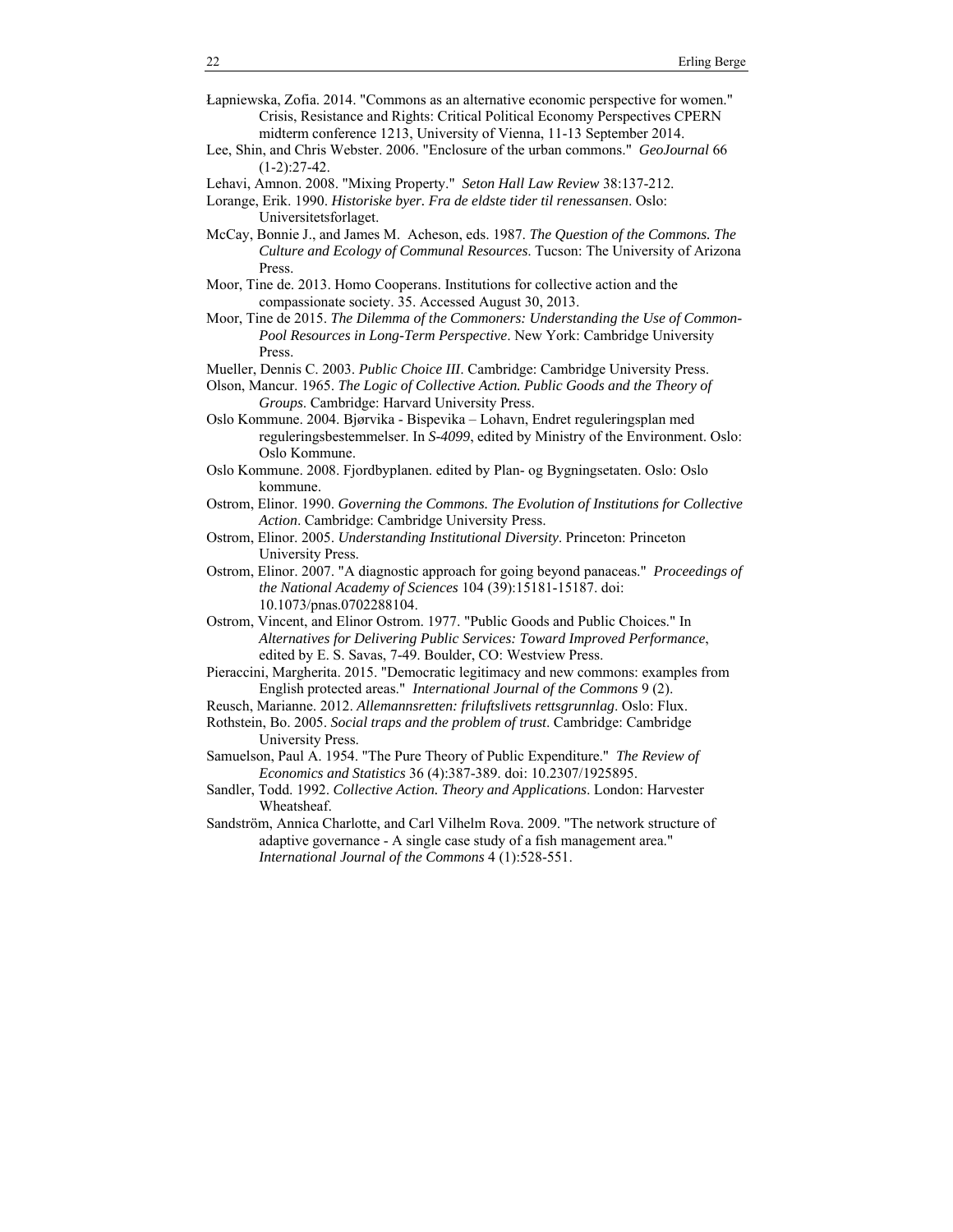- Łapniewska, Zofia. 2014. "Commons as an alternative economic perspective for women." Crisis, Resistance and Rights: Critical Political Economy Perspectives CPERN midterm conference 1213, University of Vienna, 11-13 September 2014.
- Lee, Shin, and Chris Webster. 2006. "Enclosure of the urban commons." *GeoJournal* 66  $(1-2):27-42.$
- Lehavi, Amnon. 2008. "Mixing Property." *Seton Hall Law Review* 38:137-212.
- Lorange, Erik. 1990. *Historiske byer. Fra de eldste tider til renessansen*. Oslo: Universitetsforlaget.
- McCay, Bonnie J., and James M. Acheson, eds. 1987. *The Question of the Commons. The Culture and Ecology of Communal Resources*. Tucson: The University of Arizona Press.
- Moor, Tine de. 2013. Homo Cooperans. Institutions for collective action and the compassionate society. 35. Accessed August 30, 2013.
- Moor, Tine de 2015. *The Dilemma of the Commoners: Understanding the Use of Common-Pool Resources in Long-Term Perspective*. New York: Cambridge University Press.
- Mueller, Dennis C. 2003. *Public Choice III*. Cambridge: Cambridge University Press.
- Olson, Mancur. 1965. *The Logic of Collective Action. Public Goods and the Theory of Groups*. Cambridge: Harvard University Press.
- Oslo Kommune. 2004. Bjørvika Bispevika Lohavn, Endret reguleringsplan med reguleringsbestemmelser. In *S-4099*, edited by Ministry of the Environment. Oslo: Oslo Kommune.
- Oslo Kommune. 2008. Fjordbyplanen. edited by Plan- og Bygningsetaten. Oslo: Oslo kommune.
- Ostrom, Elinor. 1990. *Governing the Commons. The Evolution of Institutions for Collective Action*. Cambridge: Cambridge University Press.
- Ostrom, Elinor. 2005. *Understanding Institutional Diversity*. Princeton: Princeton University Press.
- Ostrom, Elinor. 2007. "A diagnostic approach for going beyond panaceas." *Proceedings of the National Academy of Sciences* 104 (39):15181-15187. doi: 10.1073/pnas.0702288104.
- Ostrom, Vincent, and Elinor Ostrom. 1977. "Public Goods and Public Choices." In *Alternatives for Delivering Public Services: Toward Improved Performance*, edited by E. S. Savas, 7-49. Boulder, CO: Westview Press.
- Pieraccini, Margherita. 2015. "Democratic legitimacy and new commons: examples from English protected areas." *International Journal of the Commons* 9 (2).
- Reusch, Marianne. 2012. *Allemannsretten: friluftslivets rettsgrunnlag*. Oslo: Flux.
- Rothstein, Bo. 2005. *Social traps and the problem of trust*. Cambridge: Cambridge University Press.
- Samuelson, Paul A. 1954. "The Pure Theory of Public Expenditure." *The Review of Economics and Statistics* 36 (4):387-389. doi: 10.2307/1925895.
- Sandler, Todd. 1992. *Collective Action. Theory and Applications*. London: Harvester Wheatsheaf.
- Sandström, Annica Charlotte, and Carl Vilhelm Rova. 2009. "The network structure of adaptive governance - A single case study of a fish management area." *International Journal of the Commons* 4 (1):528-551.